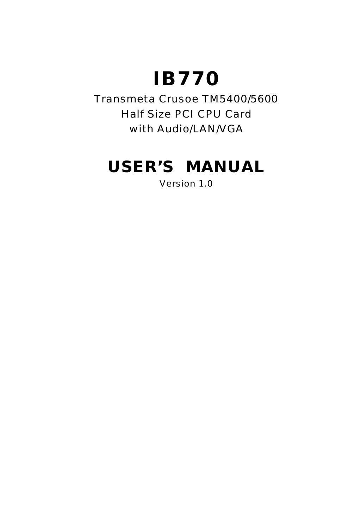# **IB770**

Transmeta Crusoe TM5400/5600 Half Size PCI CPU Card with Audio/LAN/VGA

# **USER'S MANUAL**

Version 1.0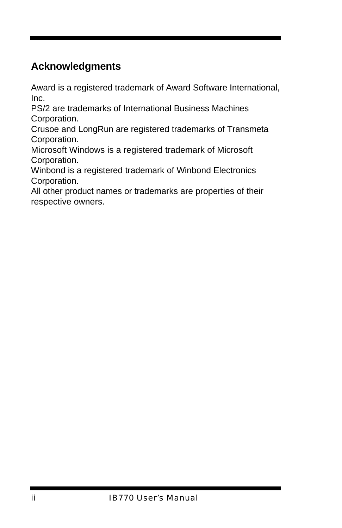## **Acknowledgments**

Award is a registered trademark of Award Software International, Inc.

PS/2 are trademarks of International Business Machines Corporation.

Crusoe and LongRun are registered trademarks of Transmeta Corporation.

Microsoft Windows is a registered trademark of Microsoft Corporation.

Winbond is a registered trademark of Winbond Electronics Corporation.

All other product names or trademarks are properties of their respective owners.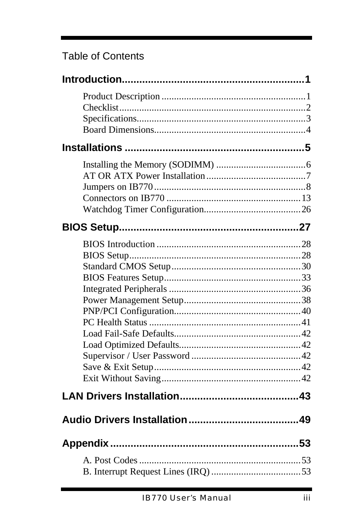# **Table of Contents**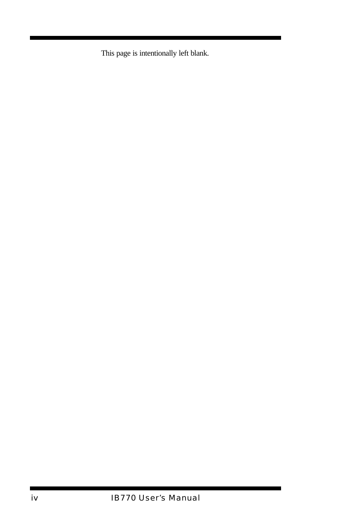This page is intentionally left blank.

۰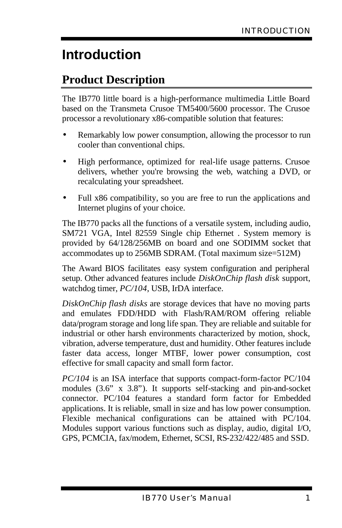# **Introduction**

# **Product Description**

The IB770 little board is a high-performance multimedia Little Board based on the Transmeta Crusoe TM5400/5600 processor. The Crusoe processor a revolutionary x86-compatible solution that features:

- Remarkably low power consumption, allowing the processor to run cooler than conventional chips.
- High performance, optimized for real-life usage patterns. Crusoe delivers, whether you're browsing the web, watching a DVD, or recalculating your spreadsheet.
- Full x86 compatibility, so you are free to run the applications and Internet plugins of your choice.

The IB770 packs all the functions of a versatile system, including audio, SM721 VGA, Intel 82559 Single chip Ethernet . System memory is provided by 64/128/256MB on board and one SODIMM socket that accommodates up to 256MB SDRAM. (Total maximum size=512M)

The Award BIOS facilitates easy system configuration and peripheral setup. Other advanced features include *DiskOnChip flash disk* support, watchdog timer, *PC/104*, USB, IrDA interface.

*DiskOnChip flash disks* are storage devices that have no moving parts and emulates FDD/HDD with Flash/RAM/ROM offering reliable data/program storage and long life span. They are reliable and suitable for industrial or other harsh environments characterized by motion, shock, vibration, adverse temperature, dust and humidity. Other features include faster data access, longer MTBF, lower power consumption, cost effective for small capacity and small form factor.

*PC/104* is an ISA interface that supports compact-form-factor PC/104 modules (3.6" x 3.8"). It supports self-stacking and pin-and-socket connector. PC/104 features a standard form factor for Embedded applications. It is reliable, small in size and has low power consumption. Flexible mechanical configurations can be attained with PC/104. Modules support various functions such as display, audio, digital I/O, GPS, PCMCIA, fax/modem, Ethernet, SCSI, RS-232/422/485 and SSD.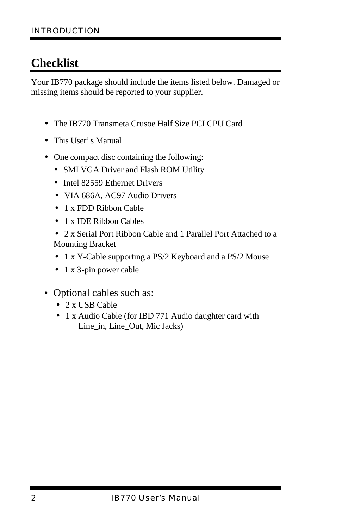# **Checklist**

Your IB770 package should include the items listed below. Damaged or missing items should be reported to your supplier.

- **·** The IB770 Transmeta Crusoe Half Size PCI CPU Card
- **·** This User's Manual
- **·** One compact disc containing the following:
	- **·** SMI VGA Driver and Flash ROM Utility
	- **·** Intel 82559 Ethernet Drivers
	- **·** VIA 686A, AC97 Audio Drivers
	- **·** 1 x FDD Ribbon Cable
	- **·** 1 x IDE Ribbon Cables
	- **·** 2 x Serial Port Ribbon Cable and 1 Parallel Port Attached to a Mounting Bracket
	- **·** 1 x Y-Cable supporting a PS/2 Keyboard and a PS/2 Mouse
	- **·** 1 x 3-pin power cable
- **·** Optional cables such as:
	- **·** 2 x USB Cable
	- **·** 1 x Audio Cable (for IBD 771 Audio daughter card with Line\_in, Line\_Out, Mic Jacks)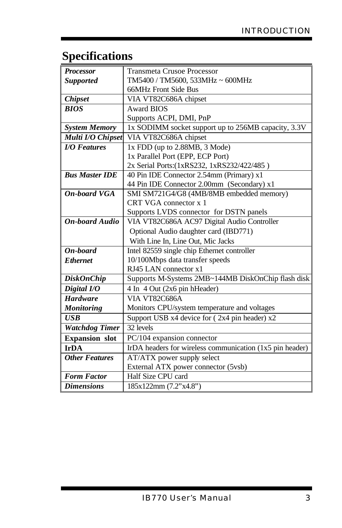# **Specifications**

| <b>Processor</b>      | <b>Transmeta Crusoe Processor</b>                        |  |
|-----------------------|----------------------------------------------------------|--|
| <b>Supported</b>      | TM5400 / TM5600, 533MHz ~ 600MHz                         |  |
|                       | 66MHz Front Side Bus                                     |  |
| <b>Chipset</b>        | VIA VT82C686A chipset                                    |  |
| <b>BIOS</b>           | <b>Award BIOS</b>                                        |  |
|                       | Supports ACPI, DMI, PnP                                  |  |
| <b>System Memory</b>  | 1x SODIMM socket support up to 256MB capacity, 3.3V      |  |
| Multi I/O Chipset     | VIA VT82C686A chipset                                    |  |
| <b>I/O</b> Features   | 1x FDD (up to 2.88MB, 3 Mode)                            |  |
|                       | 1x Parallel Port (EPP, ECP Port)                         |  |
|                       | 2x Serial Ports:(1xRS232, 1xRS232/422/485)               |  |
| <b>Bus Master IDE</b> | 40 Pin IDE Connector 2.54mm (Primary) x1                 |  |
|                       | 44 Pin IDE Connector 2.00mm (Secondary) x1               |  |
| <b>On-board VGA</b>   | SMI SM721G4/G8 (4MB/8MB embedded memory)                 |  |
|                       | CRT VGA connector x 1                                    |  |
|                       | Supports LVDS connector for DSTN panels                  |  |
| <b>On-board Audio</b> | VIA VT82C686A AC97 Digital Audio Controller              |  |
|                       | Optional Audio daughter card (IBD771)                    |  |
|                       | With Line In, Line Out, Mic Jacks                        |  |
| <b>On-board</b>       | Intel 82559 single chip Ethernet controller              |  |
| <b>Ethernet</b>       | 10/100Mbps data transfer speeds                          |  |
|                       | RJ45 LAN connector x1                                    |  |
| <b>DiskOnChip</b>     | Supports M-Systems 2MB~144MB DiskOnChip flash disk       |  |
| Digital I/O           | $\overline{4 \ln 4}$ Out (2x6 pin hHeader)               |  |
| <b>Hardware</b>       | <b>VIA VT82C686A</b>                                     |  |
| <b>Monitoring</b>     | Monitors CPU/system temperature and voltages             |  |
| <b>USB</b>            | Support USB x4 device for (2x4 pin header) x2            |  |
| <b>Watchdog Timer</b> | 32 levels                                                |  |
| <b>Expansion</b> slot | PC/104 expansion connector                               |  |
| <b>IrDA</b>           | IrDA headers for wireless communication (1x5 pin header) |  |
| <b>Other Features</b> | AT/ATX power supply select                               |  |
|                       | External ATX power connector (5vsb)                      |  |
| <b>Form Factor</b>    | Half Size CPU card                                       |  |
| <b>Dimensions</b>     | 185x122mm (7.2"x4.8")                                    |  |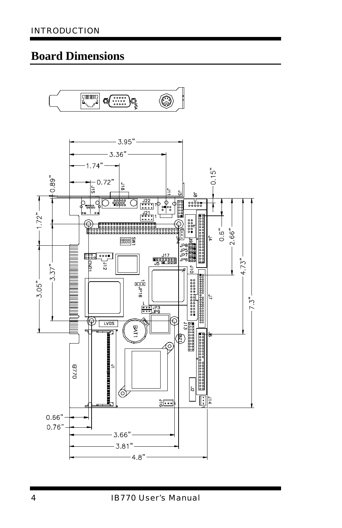# **Board Dimensions**



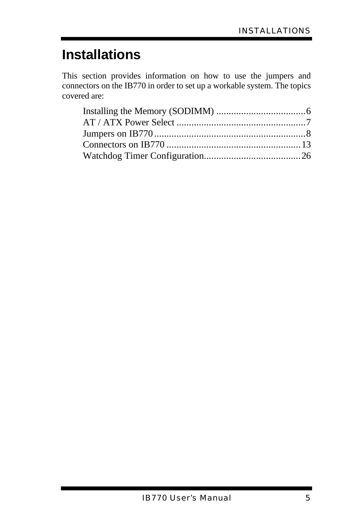# **Installations**

This section provides information on how to use the jumpers and connectors on the IB770 in order to set up a workable system. The topics covered are: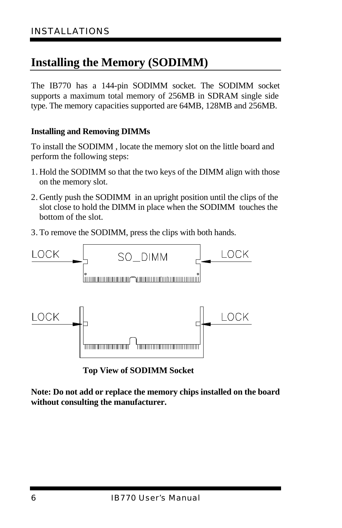# **Installing the Memory (SODIMM)**

The IB770 has a 144-pin SODIMM socket. The SODIMM socket supports a maximum total memory of 256MB in SDRAM single side type. The memory capacities supported are 64MB, 128MB and 256MB.

#### **Installing and Removing DIMMs**

To install the SODIMM , locate the memory slot on the little board and perform the following steps:

- 1. Hold the SODIMM so that the two keys of the DIMM align with those on the memory slot.
- 2. Gently push the SODIMM in an upright position until the clips of the slot close to hold the DIMM in place when the SODIMM touches the bottom of the slot.
- 3. To remove the SODIMM, press the clips with both hands.



**Top View of SODIMM Socket**

**Note: Do not add or replace the memory chips installed on the board without consulting the manufacturer.**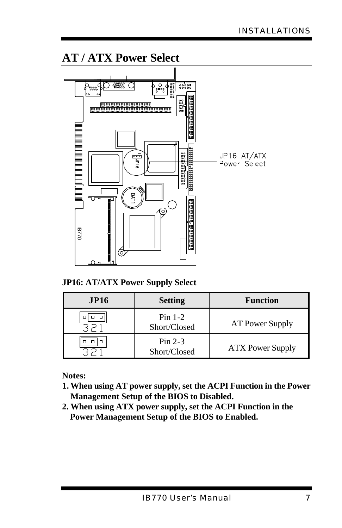

**JP16: AT/ATX Power Supply Select**

| J <sub>P</sub> 16 | <b>Setting</b>            | <b>Function</b>         |
|-------------------|---------------------------|-------------------------|
|                   | $Pin$ 1-2<br>Short/Closed | AT Power Supply         |
| n                 | Pin $2-3$<br>Short/Closed | <b>ATX Power Supply</b> |

**Notes:** 

- **1. When using AT power supply, set the ACPI Function in the Power Management Setup of the BIOS to Disabled.**
- **2. When using ATX power supply, set the ACPI Function in the Power Management Setup of the BIOS to Enabled.**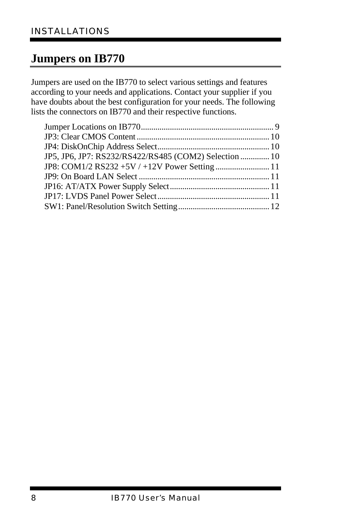### **Jumpers on IB770**

Jumpers are used on the IB770 to select various settings and features according to your needs and applications. Contact your supplier if you have doubts about the best configuration for your needs. The following lists the connectors on IB770 and their respective functions.

| JP5, JP6, JP7: RS232/RS422/RS485 (COM2) Selection  10 |  |
|-------------------------------------------------------|--|
|                                                       |  |
|                                                       |  |
|                                                       |  |
|                                                       |  |
|                                                       |  |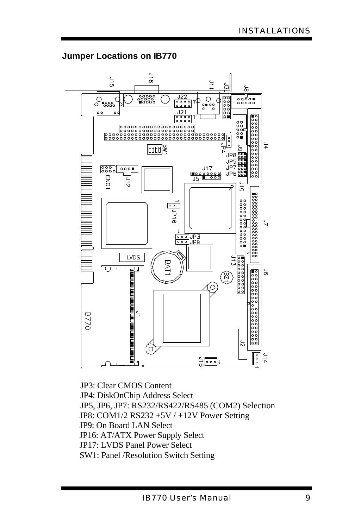



JP3: Clear CMOS Content

- JP4: DiskOnChip Address Select
- JP5, JP6, JP7: RS232/RS422/RS485 (COM2) Selection JP8: COM1/2 RS232 +5V / +12V Power Setting JP9: On Board LAN Select
- JP16: AT/ATX Power Supply Select
- JP17: LVDS Panel Power Select
- SW1: Panel /Resolution Switch Setting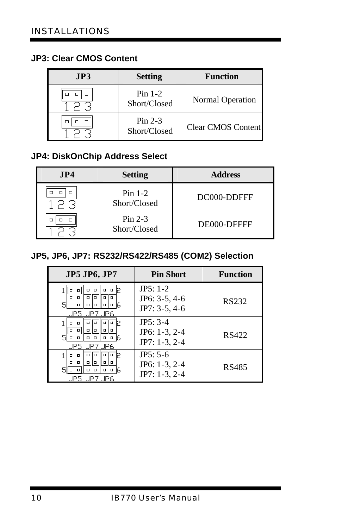### **JP3: Clear CMOS Content**

| JP3 | <b>Setting</b>            | <b>Function</b>    |
|-----|---------------------------|--------------------|
|     | $Pin$ 1-2<br>Short/Closed | Normal Operation   |
|     | $Pin 2-3$<br>Short/Closed | Clear CMOS Content |

### **JP4: DiskOnChip Address Select**

| JP4 | <b>Setting</b>            | <b>Address</b> |
|-----|---------------------------|----------------|
| п   | $Pin$ 1-2<br>Short/Closed | DC000-DDFFF    |
| п   | $Pin 2-3$<br>Short/Closed | DE000-DFFFF    |

#### **JP5, JP6, JP7: RS232/RS422/RS485 (COM2) Selection**

| <b>JP5 JP6, JP7</b>                                                                                                           | <b>Pin Short</b>                               | <b>Function</b> |
|-------------------------------------------------------------------------------------------------------------------------------|------------------------------------------------|-----------------|
| $\Box$<br>O<br>$\Box$<br>$\Box$<br>$\mathbf{u}$<br>l o<br>o lio<br>o.<br>$\Box$<br>$\Box$<br>п<br>JP6                         | $JP5: 1-2$<br>$JP6: 3-5, 4-6$<br>JP7: 3-5, 4-6 | RS232           |
| o<br>п<br>o<br>п<br>$\Box$<br>$\Box$<br>σ<br>$\Box$<br>$\Box$<br>$\Box$<br>α<br>IP7.JP6<br>IP5                                | $JP5: 3-4$<br>JP6: 1-3, 2-4<br>JP7: 1-3, 2-4   | RS422           |
| o<br>п<br>$\Box$<br>$\Box$<br>$\Box$<br>$\Box$<br>o<br>α<br>$\Box$<br>$\Box$<br>$\Box$<br>$\mathbf{a}$<br>. IP7 . JP6<br>JP5. | $JP5: 5-6$<br>$JP6: 1-3, 2-4$<br>JP7: 1-3, 2-4 | RS485           |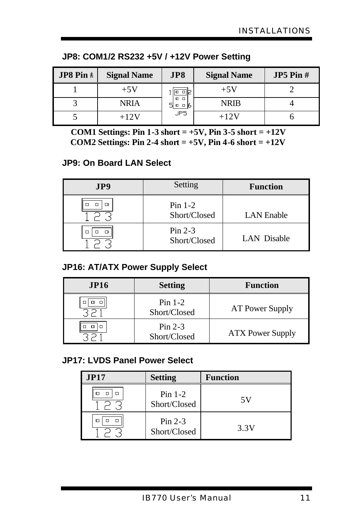| JP8 Pin # | <b>Signal Name</b> | JP8             | <b>Signal Name</b> | $JP5$ Pin # |
|-----------|--------------------|-----------------|--------------------|-------------|
|           | $+5V$              | a all2          | $+5V$              |             |
|           | <b>NRIA</b>        | $\Box$<br>50016 | <b>NRIB</b>        |             |
|           | $+12V$             | JP5             | $+12V$             |             |

**JP8: COM1/2 RS232 +5V / +12V Power Setting**

 **COM1 Settings: Pin 1-3 short = +5V, Pin 3-5 short = +12V COM2 Settings: Pin 2-4 short = +5V, Pin 4-6 short = +12V**

#### **JP9: On Board LAN Select**

| JP9    | Setting                   | <b>Function</b>    |
|--------|---------------------------|--------------------|
| п<br>п | $Pin$ 1-2<br>Short/Closed | <b>LAN</b> Enable  |
|        | Pin $2-3$<br>Short/Closed | <b>LAN</b> Disable |

#### **JP16: AT/ATX Power Supply Select**

| J <sub>P16</sub> | <b>Setting</b>            | <b>Function</b>         |
|------------------|---------------------------|-------------------------|
|                  | $Pin 1-2$<br>Short/Closed | AT Power Supply         |
|                  | $Pin 2-3$<br>Short/Closed | <b>ATX</b> Power Supply |

#### **JP17: LVDS Panel Power Select**

| <b>JP17</b> | <b>Setting</b>            | <b>Function</b> |
|-------------|---------------------------|-----------------|
| n<br>п      | $Pin$ 1-2<br>Short/Closed | 5V              |
| □           | $Pin 2-3$<br>Short/Closed | 3.3V            |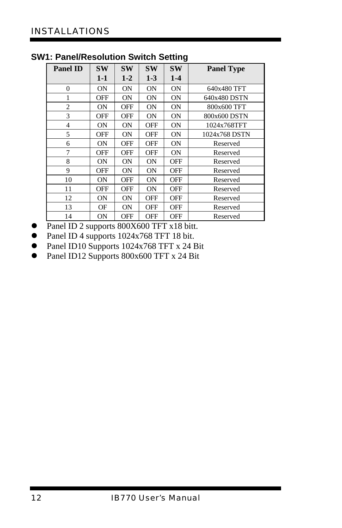|                 |            |            |            | ັ          |                   |
|-----------------|------------|------------|------------|------------|-------------------|
| <b>Panel ID</b> | <b>SW</b>  | <b>SW</b>  | <b>SW</b>  | <b>SW</b>  | <b>Panel Type</b> |
|                 | $1-1$      | $1-2$      | $1-3$      | $1-4$      |                   |
| $\Omega$        | ON         | ON         | <b>ON</b>  | <b>ON</b>  | 640x480 TFT       |
| 1               | OFF        | ΟN         | <b>ON</b>  | ON         | 640x480 DSTN      |
| $\overline{2}$  | ON         | <b>OFF</b> | <b>ON</b>  | <b>ON</b>  | 800x600 TFT       |
| 3               | <b>OFF</b> | <b>OFF</b> | <b>ON</b>  | <b>ON</b>  | 800x600 DSTN      |
| $\overline{4}$  | ON         | <b>ON</b>  | <b>OFF</b> | <b>ON</b>  | 1024x768TFT       |
| 5               | OFF        | <b>ON</b>  | <b>OFF</b> | <b>ON</b>  | 1024x768 DSTN     |
| 6               | ON         | <b>OFF</b> | <b>OFF</b> | <b>ON</b>  | Reserved          |
| $\overline{7}$  | <b>OFF</b> | <b>OFF</b> | <b>OFF</b> | <b>ON</b>  | Reserved          |
| 8               | ON         | ON         | <b>ON</b>  | OFF        | Reserved          |
| 9               | OFF        | <b>ON</b>  | <b>ON</b>  | OFF        | Reserved          |
| 10              | ON         | <b>OFF</b> | <b>ON</b>  | OFF        | Reserved          |
| 11              | <b>OFF</b> | <b>OFF</b> | <b>ON</b>  | <b>OFF</b> | Reserved          |
| 12              | ON         | ON         | <b>OFF</b> | OFF        | Reserved          |
| 13              | OF         | ΟN         | <b>OFF</b> | OFF        | Reserved          |
| 14              | <b>ON</b>  | <b>OFF</b> | <b>OFF</b> | <b>OFF</b> | Reserved          |

**SW1: Panel/Resolution Switch Setting**

• Panel ID 2 supports 800X600 TFT x18 bitt.

• Panel ID 4 supports  $1024x768$  TFT 18 bit.

● Panel ID10 Supports 1024x768 TFT x 24 Bit

• Panel ID12 Supports  $800x600$  TFT x 24 Bit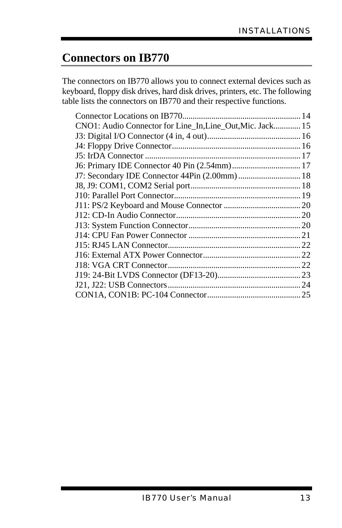## **Connectors on IB770**

The connectors on IB770 allows you to connect external devices such as keyboard, floppy disk drives, hard disk drives, printers, etc. The following table lists the connectors on IB770 and their respective functions.

| CNO1: Audio Connector for Line_In,Line_Out,Mic. Jack 15 |  |
|---------------------------------------------------------|--|
|                                                         |  |
|                                                         |  |
|                                                         |  |
|                                                         |  |
|                                                         |  |
|                                                         |  |
|                                                         |  |
|                                                         |  |
|                                                         |  |
|                                                         |  |
|                                                         |  |
|                                                         |  |
|                                                         |  |
|                                                         |  |
|                                                         |  |
|                                                         |  |
|                                                         |  |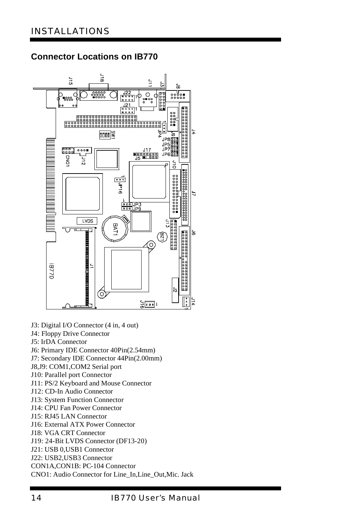#### **Connector Locations on IB770**



- J3: Digital I/O Connector (4 in, 4 out)
- J4: Floppy Drive Connector
- J5: IrDA Connector
- J6: Primary IDE Connector 40Pin(2.54mm)
- J7: Secondary IDE Connector 44Pin(2.00mm)
- J8,J9: COM1,COM2 Serial port
- J10: Parallel port Connector
- J11: PS/2 Keyboard and Mouse Connector
- J12: CD-In Audio Connector
- J13: System Function Connector
- J14: CPU Fan Power Connector
- J15: RJ45 LAN Connector
- J16: External ATX Power Connector
- J18: VGA CRT Connector
- J19: 24-Bit LVDS Connector (DF13-20)
- J21: USB 0,USB1 Connector
- J22: USB2,USB3 Connector
- CON1A,CON1B: PC-104 Connector
- CNO1: Audio Connector for Line\_In,Line\_Out,Mic. Jack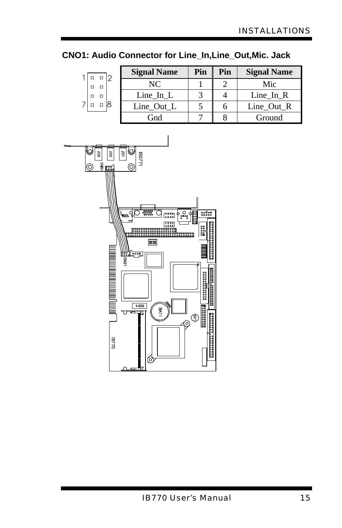| $\Box$<br>п | <b>Signal Name</b> | Pin | Pin | <b>Signal Name</b> |
|-------------|--------------------|-----|-----|--------------------|
| о<br>п      | NС                 |     |     | Mic                |
| $\Box$<br>п | Line In L          |     |     | Line In $R$        |
| о           | Line Out L         |     |     | $Line_Out_R$       |
|             | Gnd                |     |     | Ground             |



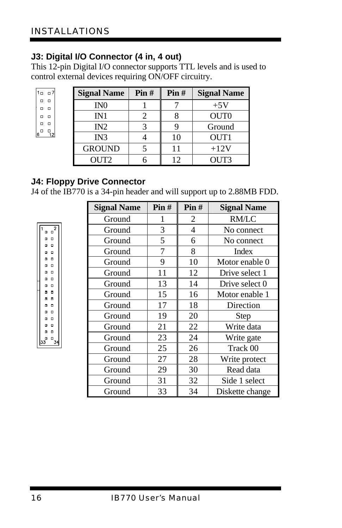#### **J3: Digital I/O Connector (4 in, 4 out)**

This 12-pin Digital I/O connector supports TTL levels and is used to control external devices requiring ON/OFF circuitry.

| 1 □ | 7 ס |
|-----|-----|
| ◻   | ◻   |
| о   | α   |
| п   | □   |
| о   | о   |
| о   | D   |

 $\mathbf{0}$   $\mathbf{0}$  $\overline{a}$  $\Box$  $\overline{\mathbf{u}}$  ,  $\overline{\mathbf{u}}$  $\Box$ 0  $\Box$  $\Box$  $\mathbf{0}$  $\mathbf{r}$  $\blacksquare$  $\Box$  $\mathbf{d}$ o  $\overline{\mathbf{a}}$   $\overline{\mathbf{a}}$  $\overline{\mathbf{0}}$   $\overline{\mathbf{0}}$  $\overline{0}$   $\overline{0}$  $\mathbf{0}$  .  $\mathbf{0}$  $\Box$   $\Box$  $\Box$ ,ი ი<br>ა3

| <b>Signal Name</b> | Pin# | Pin# | <b>Signal Name</b> |
|--------------------|------|------|--------------------|
| IN <sub>0</sub>    |      |      | $+5V$              |
| IN1                |      |      | <b>OUTO</b>        |
| IN2                |      |      | Ground             |
| IN3                |      | 10   | OUT <sub>1</sub>   |
| <b>GROUND</b>      |      |      | $+12V$             |
| OUT2               |      | 12   | OUT3               |

#### **J4: Floppy Drive Connector**

J4 of the IB770 is a 34-pin header and will support up to 2.88MB FDD.

| <b>Signal Name</b> | Pin# | $\text{Pin}\,\text{\#}$ | <b>Signal Name</b> |
|--------------------|------|-------------------------|--------------------|
| Ground             | 1    | 2                       | <b>RM/LC</b>       |
| Ground             | 3    | 4                       | No connect         |
| Ground             | 5    | 6                       | No connect         |
| Ground             | 7    | 8                       | Index              |
| Ground             | 9    | 10                      | Motor enable 0     |
| Ground             | 11   | 12                      | Drive select 1     |
| Ground             | 13   | 14                      | Drive select 0     |
| Ground             | 15   | 16                      | Motor enable 1     |
| Ground             | 17   | 18                      | Direction          |
| Ground             | 19   | 20                      | Step               |
| Ground             | 21   | 22                      | Write data         |
| Ground             | 23   | 24                      | Write gate         |
| Ground             | 25   | 26                      | Track 00           |
| Ground             | 27   | 28                      | Write protect      |
| Ground             | 29   | 30                      | Read data          |
| Ground             | 31   | 32                      | Side 1 select      |
| Ground             | 33   | 34                      | Diskette change    |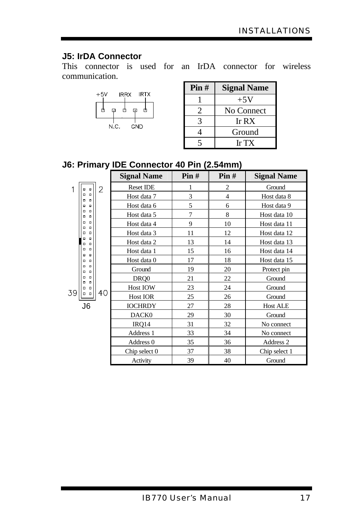#### **J5: IrDA Connector**

This connector is used for an IrDA connector for wireless communication.

| $+5V$ |   |      | <b>IRRX</b> |   |     | <b>IRTX</b> |  |
|-------|---|------|-------------|---|-----|-------------|--|
| г     | ы |      | Щ           | п |     | ┑           |  |
|       |   | N.C. |             |   | GND |             |  |

| Pin#         | <b>Signal Name</b> |
|--------------|--------------------|
|              | $+5V$              |
| 2            | No Connect         |
| $\mathbf{c}$ | Ir $RX$            |
|              | Ground             |
|              | Ir TX              |

### **J6: Primary IDE Connector 40 Pin (2.54mm)**

|                                      |    | <b>Signal Name</b> | Pin# | Pin#           | <b>Signal Name</b> |
|--------------------------------------|----|--------------------|------|----------------|--------------------|
| $\Box$<br>$\Box$                     | 2  | <b>Reset IDE</b>   | 1    | $\overline{c}$ | Ground             |
| $\Box$<br>$\Box$<br>$\Box$<br>$\Box$ |    | Host data 7        | 3    | 4              | Host data 8        |
| $\Box$<br>o                          |    | Host data 6        | 5    | 6              | Host data 9        |
| $\Box$<br>$\Box$<br>$\Box$<br>$\Box$ |    | Host data 5        | 7    | 8              | Host data 10       |
| p<br>p<br>$\Box$<br>$\Box$           |    | Host data 4        | 9    | 10             | Host data 11       |
| o<br>D                               |    | Host data 3        | 11   | 12             | Host data 12       |
| $\Box$<br>$\Box$<br>$\Box$<br>$\Box$ |    | Host data 2        | 13   | 14             | Host data 13       |
| $\Box$<br>$\Box$<br>$\Box$<br>$\Box$ |    | Host data 1        | 15   | 16             | Host data 14       |
| p<br>p                               |    | Host data 0        | 17   | 18             | Host data 15       |
| D<br>$\Box$<br>$\Box$<br>$\Box$      |    | Ground             | 19   | 20             | Protect pin        |
| $\Box$<br>$\Box$<br>$\Box$<br>$\Box$ |    | DR <sub>O0</sub>   | 21   | 22             | Ground             |
| $\Box$<br>о                          |    | <b>Host IOW</b>    | 23   | 24             | Ground             |
| 39<br>D<br>$\Box$                    | 40 | <b>Host IOR</b>    | 25   | 26             | Ground             |
| J6                                   |    | <b>IOCHRDY</b>     | 27   | 28             | <b>Host ALE</b>    |
|                                      |    | DACK0              | 29   | 30             | Ground             |
|                                      |    | IRO <sub>14</sub>  | 31   | 32             | No connect         |
|                                      |    | Address 1          | 33   | 34             | No connect         |
|                                      |    | Address 0          | 35   | 36             | Address 2          |
|                                      |    | Chip select $0$    | 37   | 38             | Chip select 1      |
|                                      |    | Activity           | 39   | 40             | Ground             |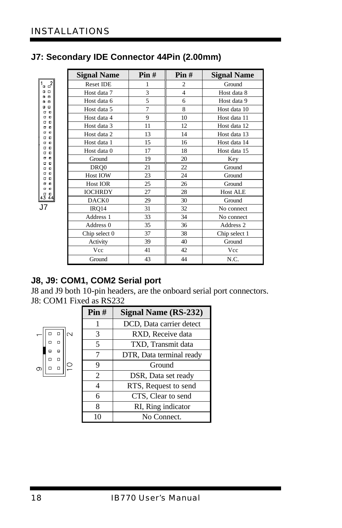|                                    | <b>Signal Name</b> | Pin# | Pin#           | <b>Signal Name</b> |
|------------------------------------|--------------------|------|----------------|--------------------|
| $\mathbf{P}_{\mathbf{q}}$<br>$a^2$ | <b>Reset IDE</b>   | 1    | 2              | Ground             |
| $\Box$<br>$\Box$<br>$\Box$<br>α    | Host data 7        | 3    | $\overline{4}$ | Host data 8        |
| $\Box$<br>α                        | Host data 6        | 5    | 6              | Host data 9        |
| $\Box$<br>о<br><b>. .</b>          | Host data 5        | 7    | 8              | Host data 10       |
| . .                                | Host data 4        | 9    | 10             | Host data 11       |
| o o<br><b>. .</b>                  | Host data 3        | 11   | 12             | Host data 12       |
| o o<br>o o                         | Host data 2        | 13   | 14             | Host data 13       |
| <b>.</b>                           | Host data 1        | 15   | 16             | Host data 14       |
| 0 D<br>0 D                         | Host data 0        | 17   | 18             | Host data 15       |
| <b>. .</b><br>0 O                  | Ground             | 19   | 20             | Key                |
| <b>00</b>                          | DR <sub>O0</sub>   | 21   | 22             | Ground             |
| o o<br>o o                         | Host IOW           | 23   | 24             | Ground             |
| . .                                | Host IOR           | 25   | 26             | Ground             |
| <b>.</b><br>$\sigma$ $\sigma$      | <b>IOCHRDY</b>     | 27   | 28             | <b>Host ALE</b>    |
| $4\bar{3}$ $44$                    | DACK <sub>0</sub>  | 29   | 30             | Ground             |
| J7                                 | IRO <sub>14</sub>  | 31   | 32             | No connect         |
|                                    | Address 1          | 33   | 34             | No connect         |
|                                    | Address 0          | 35   | 36             | Address 2          |
|                                    | Chip select 0      | 37   | 38             | Chip select 1      |
|                                    | Activity           | 39   | 40             | Ground             |
|                                    | Vcc                | 41   | 42             | Vcc                |
|                                    | Ground             | 43   | 44             | N.C.               |

### **J7: Secondary IDE Connector 44Pin (2.00mm)**

#### **J8, J9: COM1, COM2 Serial port**

J8 and J9 both 10-pin headers, are the onboard serial port connectors. J8: COM1 Fixed as RS232

|         | Ω | O |  |
|---------|---|---|--|
|         | □ | o |  |
|         | □ | o |  |
|         | Ω | o |  |
| $\circ$ | ⊏ | Ω |  |
|         |   |   |  |

| Pin#           | Signal Name (RS-232)     |
|----------------|--------------------------|
|                | DCD, Data carrier detect |
| 3              | RXD, Receive data        |
| 5              | TXD, Transmit data       |
|                | DTR, Data terminal ready |
| 9              | Ground                   |
| $\overline{c}$ | DSR, Data set ready      |
|                | RTS, Request to send     |
| 6              | CTS, Clear to send       |
| 8              | RI, Ring indicator       |
|                | No Connect.              |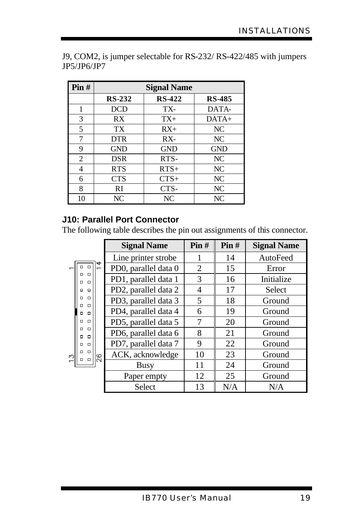| Pin#           | <b>Signal Name</b> |               |               |  |  |  |  |  |
|----------------|--------------------|---------------|---------------|--|--|--|--|--|
|                | <b>RS-232</b>      | <b>RS-422</b> | <b>RS-485</b> |  |  |  |  |  |
| 1              | <b>DCD</b>         | TX-           | DATA-         |  |  |  |  |  |
| 3              | RX                 | $TX+$         | $DATA+$       |  |  |  |  |  |
| 5              | TX                 | $RX+$         | NC.           |  |  |  |  |  |
| 7              | <b>DTR</b>         | RX-           | NC.           |  |  |  |  |  |
| 9              | <b>GND</b>         | <b>GND</b>    | <b>GND</b>    |  |  |  |  |  |
| $\overline{c}$ | <b>DSR</b>         | RTS-          | NC.           |  |  |  |  |  |
| 4              | <b>RTS</b>         | $RTS+$        | NC            |  |  |  |  |  |
| 6              | <b>CTS</b>         | $CTS+$        | NC.           |  |  |  |  |  |
| 8              | RI                 | CTS-          | NC            |  |  |  |  |  |
| 10             | NC                 | NC            | NC            |  |  |  |  |  |

J9, COM2, is jumper selectable for RS-232/ RS-422/485 with jumpers JP5/JP6/JP7

### **J10: Parallel Port Connector**

The following table describes the pin out assignments of this connector.

|             |                            | <b>Signal Name</b>   | Pin# | Pin# | <b>Signal Name</b> |
|-------------|----------------------------|----------------------|------|------|--------------------|
|             |                            | Line printer strobe  | 1    | 14   | AutoFeed           |
|             | 4<br>D                     | PD0, parallel data 0 | 2    | 15   | Error              |
| α<br>$\Box$ | $\Box$<br>$\Box$           | PD1, parallel data 1 | 3    | 16   | Initialize         |
| $\Box$      | $\Box$                     | PD2, parallel data 2 | 4    | 17   | <b>Select</b>      |
| $\Box$<br>0 | $\Box$<br>$\Box$           | PD3, parallel data 3 | 5    | 18   | Ground             |
| $\Box$      | $\Box$                     | PD4, parallel data 4 | 6    | 19   | Ground             |
| $\Box$      | $\Box$                     | PD5, parallel data 5 | 7    | 20   | Ground             |
| $\Box$      | $\Box$<br>$\Box$           | PD6, parallel data 6 | 8    | 21   | Ground             |
| $\Box$      | $\Box$                     | PD7, parallel data 7 | 9    | 22   | Ground             |
| $\Box$      | $\Box$<br>6<br>Ñ<br>$\Box$ | ACK, acknowledge     | 10   | 23   | Ground             |
|             |                            | Busy                 | 11   | 24   | Ground             |
|             |                            | Paper empty          | 12   | 25   | Ground             |
|             |                            | Select               | 13   | N/A  | N/A                |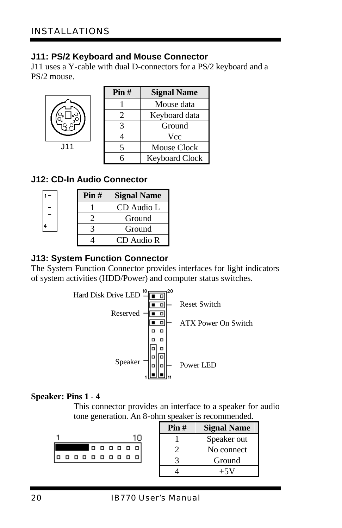#### **J11: PS/2 Keyboard and Mouse Connector**

J11 uses a Y-cable with dual D-connectors for a PS/2 keyboard and a PS/2 mouse.

| $\frac{1}{2}$<br>৽≍ |
|---------------------|
| J11                 |

|     | $\text{Pin }#$ | <b>Signal Name</b>    |
|-----|----------------|-----------------------|
|     |                | Mouse data            |
| ) ျ |                | Keyboard data         |
|     |                | Ground                |
|     |                | Vcc                   |
| J11 |                | Mouse Clock           |
|     |                | <b>Keyboard Clock</b> |

### **J12: CD-In Audio Connector**

| 1 □    | Pin# | <b>Signal Name</b> |
|--------|------|--------------------|
| $\Box$ |      | CD Audio L         |
| $\Box$ |      | Ground             |
|        |      | Ground             |
|        |      | CD Audio R         |

#### **J13: System Function Connector**

The System Function Connector provides interfaces for light indicators of system activities (HDD/Power) and computer status switches.



#### **Speaker: Pins 1 - 4**

This connector provides an interface to a speaker for audio tone generation. An 8-ohm speaker is recommended.

|  |  |  |  | 10 |
|--|--|--|--|----|
|  |  |  |  |    |
|  |  |  |  |    |
|  |  |  |  |    |

| Pin# | <b>Signal Name</b> |
|------|--------------------|
|      | Speaker out        |
|      | No connect         |
|      | Ground             |
|      |                    |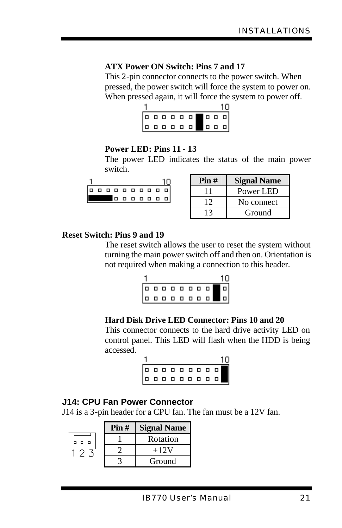#### **ATX Power ON Switch: Pins 7 and 17**

This 2-pin connector connects to the power switch. When pressed, the power switch will force the system to power on. When pressed again, it will force the system to power off.

|  |  | 0000000 |  |  |
|--|--|---------|--|--|

#### **Power LED: Pins 11 - 13**

The power LED indicates the status of the main power switch.

| $\textbf{Pin} \#$ | <b>Signal Name</b> |
|-------------------|--------------------|
|                   | Power LED          |
| 12                | No connect         |
|                   | Ground             |

#### **Reset Switch: Pins 9 and 19**

The reset switch allows the user to reset the system without turning the main power switch off and then on. Orientation is not required when making a connection to this header.

|  |  |  |  | 10 |
|--|--|--|--|----|
|  |  |  |  |    |
|  |  |  |  |    |

#### **Hard Disk Drive LED Connector: Pins 10 and 20**

This connector connects to the hard drive activity LED on control panel. This LED will flash when the HDD is being accessed.

|  |  |  |  | 10 |
|--|--|--|--|----|
|  |  |  |  |    |
|  |  |  |  |    |

#### **J14: CPU Fan Power Connector**

J14 is a 3-pin header for a CPU fan. The fan must be a 12V fan.

| Pin# | <b>Signal Name</b> |
|------|--------------------|
|      | Rotation           |
|      | $+12V$             |
|      | Ground             |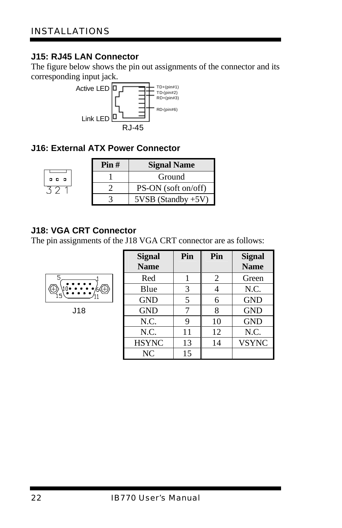### **J15: RJ45 LAN Connector**

The figure below shows the pin out assignments of the connector and its corresponding input jack.



### **J16: External ATX Power Connector**

|  | Pin# | <b>Signal Name</b>   |
|--|------|----------------------|
|  |      | Ground               |
|  |      | PS-ON (soft on/off)  |
|  |      | $5VSB$ (Standby +5V) |

#### **J18: VGA CRT Connector**

 $\begin{array}{cc} \square & \square \end{array}$ 

The pin assignments of the J18 VGA CRT connector are as follows:



J18

| <b>Signal</b> | Pin | Pin | <b>Signal</b> |
|---------------|-----|-----|---------------|
| <b>Name</b>   |     |     | <b>Name</b>   |
| Red           |     | 2   | Green         |
| Blue          | 3   |     | N.C.          |
| <b>GND</b>    | 5   | 6   | <b>GND</b>    |
| <b>GND</b>    |     | 8   | <b>GND</b>    |
| N.C.          | Q   | 10  | <b>GND</b>    |
| N.C.          | 11  | 12  | N.C.          |
| <b>HSYNC</b>  | 13  | 14  | <b>VSYNC</b>  |
| NC            | 15  |     |               |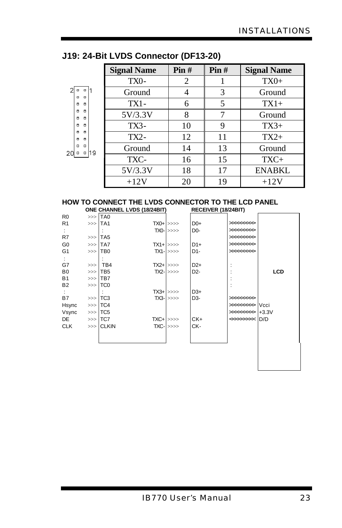|                                    | <b>Signal Name</b> | Pin# | Pin# | <b>Signal Name</b> |
|------------------------------------|--------------------|------|------|--------------------|
|                                    | TX <sub>0</sub> -  | 2    |      | $TX0+$             |
| $\blacksquare$<br>п<br>$\Box$<br>о | Ground             |      | 3    | Ground             |
| $\Box$<br>о                        | $TX1-$             | 6    | 5    | $TX1+$             |
| $\Box$<br>о<br>л<br>п              | 5V/3.3V            | 8    | 7    | Ground             |
| $\Box$<br>п                        | $TX3-$             | 10   | 9    | $TX3+$             |
| o<br>o<br>$\blacksquare$<br>о      | $TX2-$             | 12   | 11   | $TX2+$             |
| $\Box$<br>п<br>119<br>20<br>$\Box$ | Ground             | 14   | 13   | Ground             |
|                                    | TXC-               | 16   | 15   | $TXC+$             |
|                                    | 5V/3.3V            | 18   | 17   | <b>ENABKL</b>      |
|                                    | $+12V$             | 20   | 19   | $+12V$             |

#### **J19: 24-Bit LVDS Connector (DF13-20)**

#### **HOW TO CONNECT THE LVDS CONNECTOR TO THE LCD PANEL**<br>ONE CHANNEL LVDS (18/24BIT) RECEIVER (18/24BIT) **ONE CHANNEL LVDS (18/24BIT)**

| R <sub>0</sub> |               | $\gg$ TA0       |             |                |                  |                                                                     |             |  |
|----------------|---------------|-----------------|-------------|----------------|------------------|---------------------------------------------------------------------|-------------|--|
| R <sub>1</sub> |               | $\gg$ TA1       |             | $TX0+$ >>>>    | $D0+$            | >>>>>>>>>>                                                          |             |  |
| ÷              |               |                 |             | $TX0-$ >>>>    | D <sub>0</sub> - | >>>>>>>>>>                                                          |             |  |
| R7             |               | $\gg$ TA5       |             |                |                  | >>>>>>>>>>                                                          |             |  |
| G <sub>0</sub> |               | $\gg$ TA7       |             | $TX1+ \gg\gg$  | $D1+$            | >>>>>>>>>>                                                          |             |  |
| G1             |               | $\gg$ TB0       |             | $TX1 - \gg\gg$ | D <sub>1</sub> - | >>>>>>>>>>                                                          |             |  |
|                |               |                 |             |                |                  |                                                                     |             |  |
| G7             | $\gg$         | TB4             |             | $TX2+$ >>>>    | $D2+$            |                                                                     |             |  |
| B <sub>0</sub> | $>\!\!>\!\!>$ | TB <sub>5</sub> |             | $TX2-$ >>>>    | D <sub>2</sub> - |                                                                     | <b>LCD</b>  |  |
| <b>B1</b>      |               | $\gg$ TB7       |             |                |                  |                                                                     |             |  |
| <b>B2</b>      |               | $\gg$ TC0       |             |                |                  |                                                                     |             |  |
|                |               |                 |             | $TX3+$ >>>>    | D <sub>3+</sub>  |                                                                     |             |  |
| <b>B7</b>      |               | $\gg$ TC3       |             | $TX3-$ >>>>    | D3-              | >>>>>>>>>>                                                          |             |  |
| Hsync          |               | $\gg$ TC4       |             |                |                  | >>>>>>>>>>                                                          | <b>Vcci</b> |  |
| Vsync          |               | $\gg$ TC5       |             |                |                  | $\rightarrow \rightarrow \rightarrow \rightarrow \rightarrow +3.3V$ |             |  |
| DE             |               | $\gg$ TC7       | $TXC+$ >>>> |                | CK+              | $<<<<<<$ D/D                                                        |             |  |
| <b>CLK</b>     |               | $\gg$ CLKIN     |             | $TXC \gg\gg$   | CK-              |                                                                     |             |  |
|                |               |                 |             |                |                  |                                                                     |             |  |
|                |               |                 |             |                |                  |                                                                     |             |  |
|                |               |                 |             |                |                  |                                                                     |             |  |
|                |               |                 |             |                |                  |                                                                     |             |  |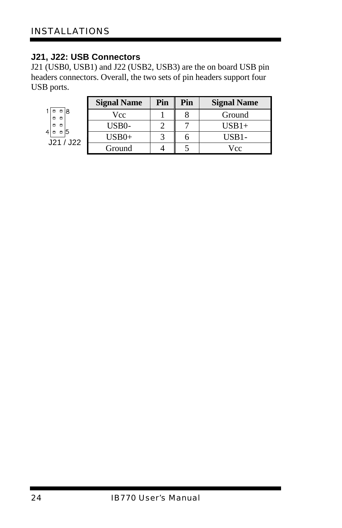#### **J21, J22: USB Connectors**

J21 (USB0, USB1) and J22 (USB2, USB3) are the on board USB pin headers connectors. Overall, the two sets of pin headers support four USB ports.

|                                            | <b>Signal Name</b> | Pin | Pin | <b>Signal Name</b> |
|--------------------------------------------|--------------------|-----|-----|--------------------|
| I8<br>$\Box$<br>$\Box$<br>$\Box$<br>$\Box$ | Vcc                |     |     | Ground             |
| $\Box$<br>α                                | USB0-              |     |     | $USB1+$            |
| п<br>α<br>J21 / J22                        | $\text{USB0+}$     |     |     | USB1-              |
|                                            | Ground             |     |     | Vcc                |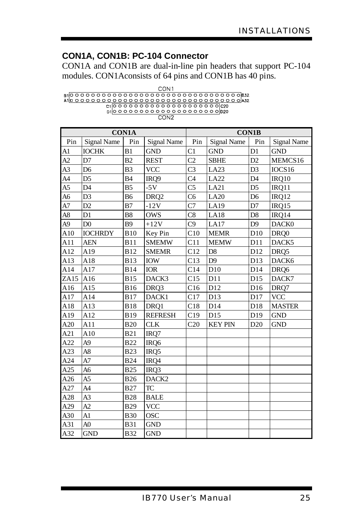#### **CON1A, CON1B: PC-104 Connector**

CON1A and CON1B are dual-in-line pin headers that support PC-104 modules. CON1Aconsists of 64 pins and CON1B has 40 pins.

# CON1

| <b>CON1A</b> |                |                | <b>CON1B</b>       |                 |                    |                |                    |
|--------------|----------------|----------------|--------------------|-----------------|--------------------|----------------|--------------------|
| Pin          | Signal Name    | Pin            | <b>Signal Name</b> | Pin             | <b>Signal Name</b> | Pin            | <b>Signal Name</b> |
| A1           | <b>IOCHK</b>   | B1             | <b>GND</b>         | C <sub>1</sub>  | <b>GND</b>         | D1             | <b>GND</b>         |
| A2           | D7             | B <sub>2</sub> | <b>REST</b>        | $\overline{C2}$ | <b>SBHE</b>        | D <sub>2</sub> | MEMCS16            |
| A3           | D <sub>6</sub> | B <sub>3</sub> | <b>VCC</b>         | C <sub>3</sub>  | LA23               | D <sub>3</sub> | IOCS16             |
| A4           | D5             | <b>B4</b>      | IRQ9               | C <sub>4</sub>  | LA22               | D <sub>4</sub> | IRQ10              |
| A5           | D <sub>4</sub> | B <sub>5</sub> | $-5V$              | C <sub>5</sub>  | LA21               | D <sub>5</sub> | IRQ11              |
| A6           | D <sub>3</sub> | B <sub>6</sub> | DRO <sub>2</sub>   | C6              | LA20               | D <sub>6</sub> | IRO12              |
| A7           | D2             | B7             | $-12V$             | C7              | LA19               | D7             | IRQ15              |
| A8           | D1             | <b>B8</b>      | <b>OWS</b>         | C8              | <b>LA18</b>        | D <sub>8</sub> | IRQ14              |
| A9           | D <sub>0</sub> | <b>B</b> 9     | $+12V$             | C9              | LA17               | D <sub>9</sub> | DACK0              |
| A10          | <b>IOCHRDY</b> | B10            | Key Pin            | C10             | <b>MEMR</b>        | D10            | DRQ0               |
| A11          | <b>AEN</b>     | <b>B11</b>     | <b>SMEMW</b>       | C11             | <b>MEMW</b>        | D11            | DACK5              |
| A12          | A19            | <b>B12</b>     | <b>SMEMR</b>       | C12             | D <sub>8</sub>     | D12            | DRQ5               |
| A13          | A18            | <b>B13</b>     | <b>IOW</b>         | C13             | D <sub>9</sub>     | D13            | DACK6              |
| A14          | A17            | <b>B14</b>     | <b>IOR</b>         | C14             | D10                | D14            | DRQ6               |
| ZA15         | A16            | <b>B15</b>     | DACK3              | C15             | D11                | D15            | DACK7              |
| A16          | A15            | <b>B16</b>     | DRQ3               | C16             | D12                | D16            | DRQ7               |
| A17          | A14            | <b>B17</b>     | DACK1              | C17             | D13                | D17            | VCC                |
| A18          | A13            | <b>B18</b>     | DRQ1               | C18             | D14                | D18            | <b>MASTER</b>      |
| A19          | A12            | <b>B19</b>     | <b>REFRESH</b>     | C19             | D15                | D19            | <b>GND</b>         |
| A20          | A11            | <b>B20</b>     | <b>CLK</b>         | C20             | <b>KEY PIN</b>     | D20            | <b>GND</b>         |
| A21          | A10            | <b>B21</b>     | IRQ7               |                 |                    |                |                    |
| A22          | A9             | <b>B22</b>     | IRQ6               |                 |                    |                |                    |
| A23          | A8             | <b>B23</b>     | IRQ5               |                 |                    |                |                    |
| A24          | A7             | <b>B24</b>     | IRQ4               |                 |                    |                |                    |
| A25          | A6             | <b>B25</b>     | IRQ3               |                 |                    |                |                    |
| A26          | A5             | <b>B26</b>     | DACK <sub>2</sub>  |                 |                    |                |                    |
| A27          | A4             | <b>B27</b>     | TC                 |                 |                    |                |                    |
| A28          | A3             | <b>B28</b>     | <b>BALE</b>        |                 |                    |                |                    |
| A29          | A2             | <b>B29</b>     | <b>VCC</b>         |                 |                    |                |                    |
| A30          | A1             | <b>B30</b>     | <b>OSC</b>         |                 |                    |                |                    |
| A31          | A <sub>0</sub> | <b>B31</b>     | <b>GND</b>         |                 |                    |                |                    |
| A32          | <b>GND</b>     | <b>B32</b>     | <b>GND</b>         |                 |                    |                |                    |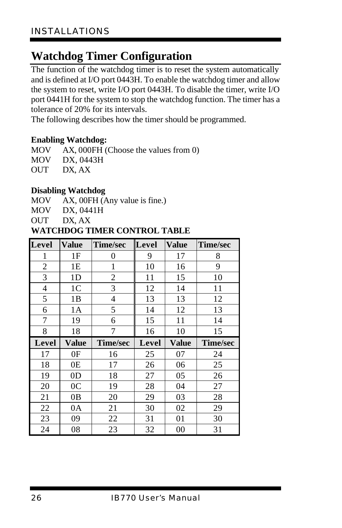# **Watchdog Timer Configuration**

The function of the watchdog timer is to reset the system automatically and is defined at I/O port 0443H. To enable the watchdog timer and allow the system to reset, write I/O port 0443H. To disable the timer, write I/O port 0441H for the system to stop the watchdog function. The timer has a tolerance of 20% for its intervals.

The following describes how the timer should be programmed.

#### **Enabling Watchdog:**

MOV AX, 000FH (Choose the values from 0) MOV DX, 0443H OUT DX, AX

#### **Disabling Watchdog**

MOV AX, 00FH (Any value is fine.) MOV DX, 0441H OUT DX, AX

#### **WATCHDOG TIMER CONTROL TABLE**

| Level          | <b>Value</b>   | <b>Time/sec</b> | Level | <b>Value</b> | <b>Time/sec</b> |
|----------------|----------------|-----------------|-------|--------------|-----------------|
| 1              | 1F             | 0               | 9     | 17           | 8               |
| $\overline{c}$ | 1E             | 1               | 10    | 16           | 9               |
| 3              | 1D             | 2               | 11    | 15           | 10              |
| 4              | 1 <sub>C</sub> | 3               | 12    | 14           | 11              |
| 5              | 1 B            | 4               | 13    | 13           | 12              |
| 6              | 1А             | 5               | 14    | 12           | 13              |
| 7              | 19             | 6               | 15    | 11           | 14              |
| 8              | 18             | 7               | 16    | 10           | 15              |
|                |                |                 |       |              |                 |
| Level          | Value          | <b>Time/sec</b> | Level | Value        | <b>Time/sec</b> |
| 17             | 0 <sub>F</sub> | 16              | 25    | 07           | 24              |
| 18             | 0E             | 17              | 26    | 06           | 25              |
| 19             | 0 <sub>D</sub> | 18              | 27    | 05           | 26              |
| 20             | 0 <sub>C</sub> | 19              | 28    | 04           | 27              |
| 21             | 0B             | 20              | 29    | 03           | 28              |
| 22             | 0A             | 21              | 30    | 02           | 29              |
| 23             | 09             | 22              | 31    | 01           | 30              |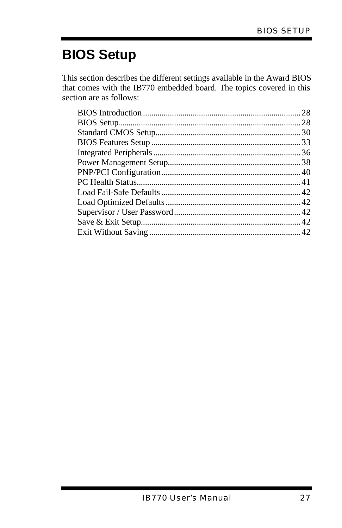# **BIOS Setup**

This section describes the different settings available in the Award BIOS that comes with the IB770 embedded board. The topics covered in this section are as follows: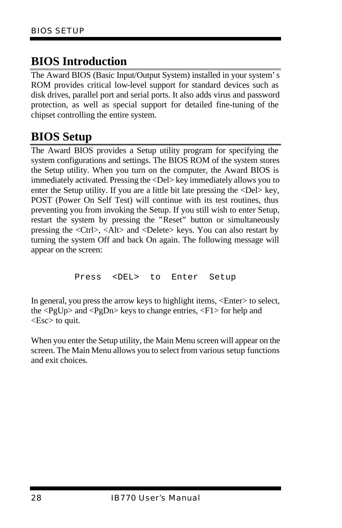## **BIOS Introduction**

The Award BIOS (Basic Input/Output System) installed in your system's ROM provides critical low-level support for standard devices such as disk drives, parallel port and serial ports. It also adds virus and password protection, as well as special support for detailed fine-tuning of the chipset controlling the entire system.

# **BIOS Setup**

The Award BIOS provides a Setup utility program for specifying the system configurations and settings. The BIOS ROM of the system stores the Setup utility. When you turn on the computer, the Award BIOS is immediately activated. Pressing the <Del> key immediately allows you to enter the Setup utility. If you are a little bit late pressing the <Del> key, POST (Power On Self Test) will continue with its test routines, thus preventing you from invoking the Setup. If you still wish to enter Setup, restart the system by pressing the "Reset" button or simultaneously pressing the <Ctrl>, <Alt> and <Delete> keys. You can also restart by turning the system Off and back On again. The following message will appear on the screen:

Press <DEL> to Enter Setup

In general, you press the arrow keys to highlight items, <Enter> to select, the <PgUp> and <PgDn> keys to change entries, <F1> for help and <Esc> to quit.

When you enter the Setup utility, the Main Menu screen will appear on the screen. The Main Menu allows you to select from various setup functions and exit choices.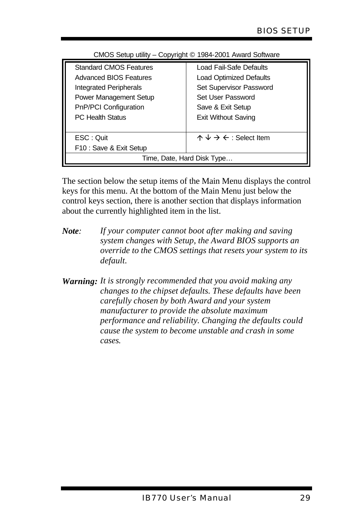| <b>Standard CMOS Features</b> | Load Fail Safe Defaults                              |
|-------------------------------|------------------------------------------------------|
| Advanced BIOS Features        | <b>Load Optimized Defaults</b>                       |
| <b>Integrated Peripherals</b> | Set Supervisor Password                              |
| <b>Power Management Setup</b> | Set User Password                                    |
| PnP/PCI Configuration         | Save & Exit Setup                                    |
| <b>PC Health Status</b>       | <b>Exit Without Saving</b>                           |
|                               |                                                      |
| ESC: Quit                     | $\uparrow \psi \rightarrow \leftarrow$ : Select Item |
| F10: Save & Exit Setup        |                                                      |
|                               | Time, Date, Hard Disk Type                           |

CMOS Setup utility – Copyright © 1984-2001 Award Software

The section below the setup items of the Main Menu displays the control keys for this menu. At the bottom of the Main Menu just below the control keys section, there is another section that displays information about the currently highlighted item in the list.

- *Note: If your computer cannot boot after making and saving system changes with Setup, the Award BIOS supports an override to the CMOS settings that resets your system to its default.*
- *Warning: It is strongly recommended that you avoid making any changes to the chipset defaults. These defaults have been carefully chosen by both Award and your system manufacturer to provide the absolute maximum performance and reliability. Changing the defaults could cause the system to become unstable and crash in some cases.*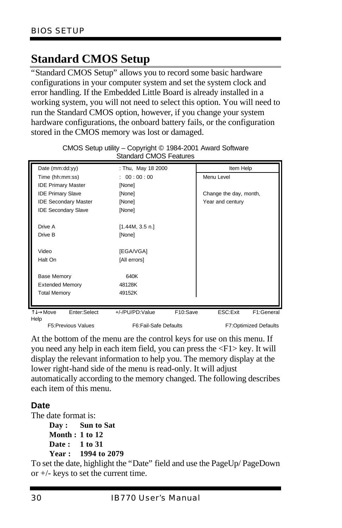## **Standard CMOS Setup**

"Standard CMOS Setup" allows you to record some basic hardware configurations in your computer system and set the system clock and error handling. If the Embedded Little Board is already installed in a working system, you will not need to select this option. You will need to run the Standard CMOS option, however, if you change your system hardware configurations, the onboard battery fails, or the configuration stored in the CMOS memory was lost or damaged.

| Date (mm:dd:yy)                   | : Thu, May 18 2000    |          | Item Help              |                              |
|-----------------------------------|-----------------------|----------|------------------------|------------------------------|
| Time (hh:mm:ss)                   | : 00:00:00            |          | Menu Level             |                              |
| <b>IDE Primary Master</b>         | [None]                |          |                        |                              |
| <b>IDE Primary Slave</b>          | [None]                |          | Change the day, month, |                              |
| <b>IDE Secondary Master</b>       | [None]                |          | Year and century       |                              |
| <b>IDE Secondary Slave</b>        | [None]                |          |                        |                              |
|                                   |                       |          |                        |                              |
| Drive A                           | [1.44M, 3.5n.]        |          |                        |                              |
| Drive B                           | [None]                |          |                        |                              |
|                                   |                       |          |                        |                              |
| Video                             | [EGA/VGA]             |          |                        |                              |
| Halt On                           | [All errors]          |          |                        |                              |
|                                   |                       |          |                        |                              |
| <b>Base Memory</b>                | 640K                  |          |                        |                              |
| <b>Extended Memory</b>            | 48128K                |          |                        |                              |
| <b>Total Memory</b>               | 49152K                |          |                        |                              |
|                                   |                       |          |                        |                              |
| ↑↓→Move<br>Enter:Select           | +/-/PU/PD:Value       | F10:Save | ESC:Exit               | F1:General                   |
| Help<br><b>F5:Previous Values</b> | F6:Fail-Safe Defaults |          |                        | <b>F7:Optimized Defaults</b> |

CMOS Setup utility – Copyright © 1984-2001 Award Software Standard CMOS Features

At the bottom of the menu are the control keys for use on this menu. If you need any help in each item field, you can press the <F1> key. It will display the relevant information to help you. The memory display at the lower right-hand side of the menu is read-only. It will adjust automatically according to the memory changed. The following describes each item of this menu.

#### **Date**

The date format is:

```
Day : Sun to Sat
Month : 1 to 12
Date : 1 to 31
Year : 1994 to 2079
```
To set the date, highlight the "Date" field and use the PageUp/ PageDown or +/- keys to set the current time.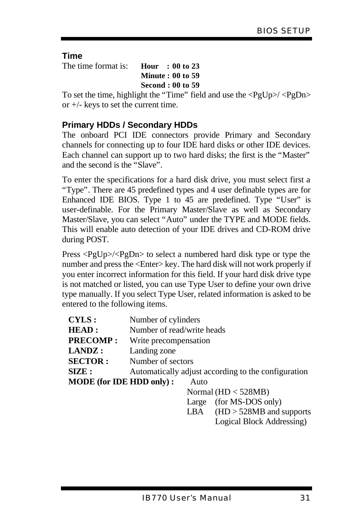#### **Time**

The time format is: **Hour : 00 to 23 Minute : 00 to 59 Second : 00 to 59**

To set the time, highlight the "Time" field and use the <PgUp>/ <PgDn> or  $+/-$  keys to set the current time.

#### **Primary HDDs / Secondary HDDs**

The onboard PCI IDE connectors provide Primary and Secondary channels for connecting up to four IDE hard disks or other IDE devices. Each channel can support up to two hard disks; the first is the "Master" and the second is the "Slave".

To enter the specifications for a hard disk drive, you must select first a "Type". There are 45 predefined types and 4 user definable types are for Enhanced IDE BIOS. Type 1 to 45 are predefined. Type "User" is user-definable. For the Primary Master/Slave as well as Secondary Master/Slave, you can select "Auto" under the TYPE and MODE fields. This will enable auto detection of your IDE drives and CD-ROM drive during POST.

Press <PgUp>/<PgDn> to select a numbered hard disk type or type the number and press the <Enter> key. The hard disk will not work properly if you enter incorrect information for this field. If your hard disk drive type is not matched or listed, you can use Type User to define your own drive type manually. If you select Type User, related information is asked to be entered to the following items.

| CYLS:                           | Number of cylinders                                 |
|---------------------------------|-----------------------------------------------------|
| <b>HEAD:</b>                    | Number of read/write heads                          |
| <b>PRECOMP:</b>                 | Write precompensation                               |
| LANDZ:                          | Landing zone                                        |
| <b>SECTOR:</b>                  | Number of sectors                                   |
| SIZE:                           | Automatically adjust according to the configuration |
| <b>MODE</b> (for IDE HDD only): | Auto                                                |
|                                 |                                                     |

Normal (HD < 528MB)

Large (for MS-DOS only)

LBA  $(HD > 528MB$  and supports Logical Block Addressing)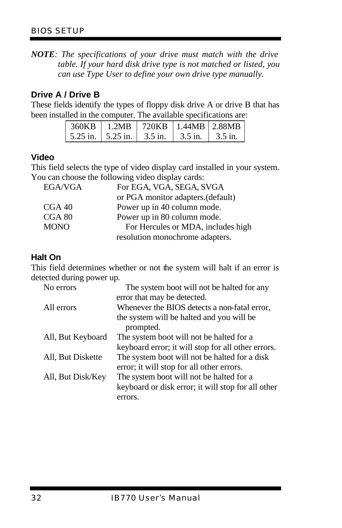*NOTE: The specifications of your drive must match with the drive table. If your hard disk drive type is not matched or listed, you can use Type User to define your own drive type manually.* 

#### **Drive A / Drive B**

These fields identify the types of floppy disk drive A or drive B that has been installed in the computer. The available specifications are:

| $\vert$ 360KB $\vert$ 1.2MB $\vert$ 720KB $\vert$ 1.44MB $\vert$ 2.88MB |  |                                 |  |
|-------------------------------------------------------------------------|--|---------------------------------|--|
| $\frac{1}{2}$ 5.25 in. $\frac{1}{2}$ 5.25 in. $\frac{1}{2}$ 3.5 in.     |  | $\vert$ 3.5 in. $\vert$ 3.5 in. |  |

#### **Video**

This field selects the type of video display card installed in your system. You can choose the following video display cards:

| EGA/VGA     | For EGA, VGA, SEGA, SVGA           |  |
|-------------|------------------------------------|--|
|             | or PGA monitor adapters. (default) |  |
| CGA 40      | Power up in 40 column mode.        |  |
| CGA 80      | Power up in 80 column mode.        |  |
| <b>MONO</b> | For Hercules or MDA, includes high |  |
|             | resolution monochrome adapters.    |  |

#### **Halt On**

This field determines whether or not the system will halt if an error is detected during power up.

| The system boot will not be halted for any         |
|----------------------------------------------------|
| error that may be detected.                        |
| Whenever the BIOS detects a non-fatal error,       |
| the system will be halted and you will be          |
| prompted.                                          |
| The system boot will not be halted for a           |
| keyboard error; it will stop for all other errors. |
| The system boot will not be halted for a disk      |
| error; it will stop for all other errors.          |
| The system boot will not be halted for a           |
| keyboard or disk error; it will stop for all other |
| errors.                                            |
|                                                    |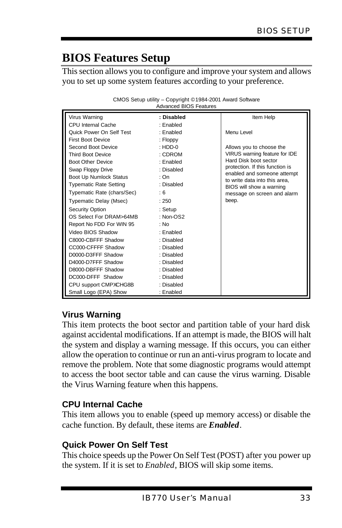# **BIOS Features Setup**

This section allows you to configure and improve your system and allows you to set up some system features according to your preference.

| Virus Warning                 | : Disabled  | Item Help                                                    |
|-------------------------------|-------------|--------------------------------------------------------------|
| CPU Internal Cache            | : Enabled   |                                                              |
| Quick Power On Self Test      | : Enabled   | Menu Level                                                   |
| <b>First Boot Device</b>      | : Floppy    |                                                              |
| Second Boot Device            | $: HDD-0$   | Allows you to choose the                                     |
| <b>Third Boot Device</b>      | : CDROM     | VIRUS warning feature for IDE                                |
| <b>Boot Other Device</b>      | : Enabled   | Hard Disk boot sector                                        |
| Swap Floppy Drive             | : Disabled  | protection. If this function is                              |
| Boot Up Numlock Status        | : On        | enabled and someone attempt<br>to write data into this area, |
| <b>Typematic Rate Setting</b> | : Disabled  | BIOS will show a warning                                     |
| Typematic Rate (chars/Sec)    | : 6         | message on screen and alarm                                  |
| Typematic Delay (Msec)        | : 250       | beep.                                                        |
| Security Option               | : Setup     |                                                              |
| OS Select For DRAM>64MB       | : $Non-OS2$ |                                                              |
| Report No FDD For WIN 95      | : No        |                                                              |
| Video BIOS Shadow             | : Enabled   |                                                              |
| C8000-CBFFF Shadow            | : Disabled  |                                                              |
| CC000-CFFFF Shadow            | : Disabled  |                                                              |
| D0000-D3FFF Shadow            | : Disabled  |                                                              |
| D4000-D7FFF Shadow            | : Disabled  |                                                              |
| D8000-DBFFF Shadow            | : Disabled  |                                                              |
| DC000-DFFF Shadow             | : Disabled  |                                                              |
| CPU support CMPXCHG8B         | : Disabled  |                                                              |
| Small Logo (EPA) Show         | : Enabled   |                                                              |

| CMOS Setup utility - Copyright ©1984-2001 Award Software |  |
|----------------------------------------------------------|--|
| <b>Advanced BIOS Features</b>                            |  |

#### **Virus Warning**

This item protects the boot sector and partition table of your hard disk against accidental modifications. If an attempt is made, the BIOS will halt the system and display a warning message. If this occurs, you can either allow the operation to continue or run an anti-virus program to locate and remove the problem. Note that some diagnostic programs would attempt to access the boot sector table and can cause the virus warning. Disable the Virus Warning feature when this happens.

#### **CPU Internal Cache**

This item allows you to enable (speed up memory access) or disable the cache function. By default, these items are *Enabled*.

#### **Quick Power On Self Test**

This choice speeds up the Power On Self Test (POST) after you power up the system. If it is set to *Enabled*, BIOS will skip some items.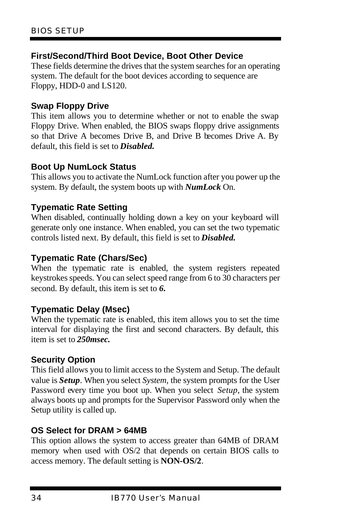#### **First/Second/Third Boot Device, Boot Other Device**

These fields determine the drives that the system searches for an operating system. The default for the boot devices according to sequence are Floppy, HDD-0 and LS120.

#### **Swap Floppy Drive**

This item allows you to determine whether or not to enable the swap Floppy Drive. When enabled, the BIOS swaps floppy drive assignments so that Drive A becomes Drive B, and Drive B becomes Drive A. By default, this field is set to *Disabled.*

#### **Boot Up NumLock Status**

This allows you to activate the NumLock function after you power up the system. By default, the system boots up with *NumLock* On.

#### **Typematic Rate Setting**

When disabled, continually holding down a key on your keyboard will generate only one instance. When enabled, you can set the two typematic controls listed next. By default, this field is set to *Disabled.*

#### **Typematic Rate (Chars/Sec)**

When the typematic rate is enabled, the system registers repeated keystrokes speeds. You can select speed range from 6 to 30 characters per second. By default, this item is set to *6.*

#### **Typematic Delay (Msec)**

When the typematic rate is enabled, this item allows you to set the time interval for displaying the first and second characters. By default, this item is set to *250msec.*

#### **Security Option**

This field allows you to limit access to the System and Setup. The default value is *Setup*. When you select *System,* the system prompts for the User Password every time you boot up. When you select *Setup,* the system always boots up and prompts for the Supervisor Password only when the Setup utility is called up.

#### **OS Select for DRAM > 64MB**

This option allows the system to access greater than 64MB of DRAM memory when used with OS/2 that depends on certain BIOS calls to access memory. The default setting is **NON-OS/2**.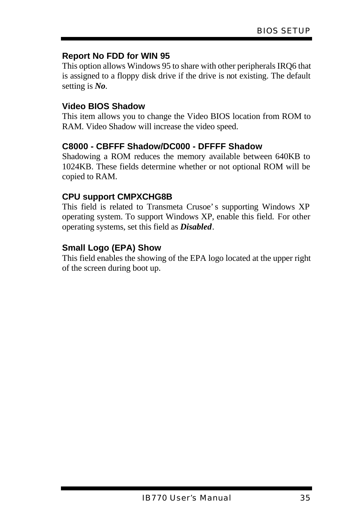#### **Report No FDD for WIN 95**

This option allows Windows 95 to share with other peripherals IRQ6 that is assigned to a floppy disk drive if the drive is not existing. The default setting is *No*.

#### **Video BIOS Shadow**

This item allows you to change the Video BIOS location from ROM to RAM. Video Shadow will increase the video speed.

#### **C8000 - CBFFF Shadow/DC000 - DFFFF Shadow**

Shadowing a ROM reduces the memory available between 640KB to 1024KB. These fields determine whether or not optional ROM will be copied to RAM.

#### **CPU support CMPXCHG8B**

This field is related to Transmeta Crusoe's supporting Windows XP operating system. To support Windows XP, enable this field. For other operating systems, set this field as *Disabled*.

#### **Small Logo (EPA) Show**

This field enables the showing of the EPA logo located at the upper right of the screen during boot up.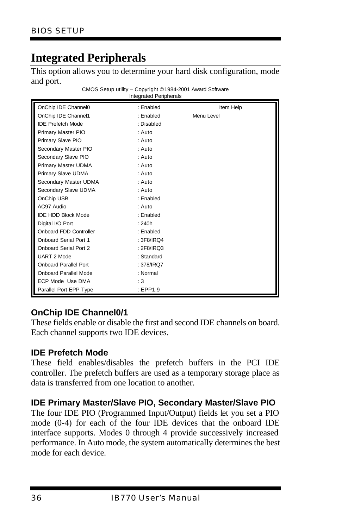## **Integrated Peripherals**

This option allows you to determine your hard disk configuration, mode and port.

|                              | Integrated Peripherals |            |
|------------------------------|------------------------|------------|
| OnChip IDE Channel0          | : Enabled              | Item Help  |
| OnChip IDE Channel1          | : Enabled              | Menu Level |
| <b>IDE Prefetch Mode</b>     | : Disabled             |            |
| Primary Master PIO           | : Auto                 |            |
| Primary Slave PIO            | : Auto                 |            |
| Secondary Master PIO         | : Auto                 |            |
| Secondary Slave PIO          | : Auto                 |            |
| Primary Master UDMA          | : Auto                 |            |
| Primary Slave UDMA           | : Auto                 |            |
| Secondary Master UDMA        | : Auto                 |            |
| Secondary Slave UDMA         | : Auto                 |            |
| OnChip USB                   | : Enabled              |            |
| AC97 Audio                   | : Auto                 |            |
| <b>IDE HDD Block Mode</b>    | : Enabled              |            |
| Digital I/O Port             | : 240h                 |            |
| Onboard FDD Controller       | : Enabled              |            |
| <b>Onboard Serial Port 1</b> | : 3F8/IRQ4             |            |
| Onboard Serial Port 2        | : 2F8/IRQ3             |            |
| <b>UART 2 Mode</b>           | : Standard             |            |
| <b>Onboard Parallel Port</b> | : 378/IRQ7             |            |
| <b>Onboard Parallel Mode</b> | : Normal               |            |
| ECP Mode Use DMA             | : 3                    |            |
| Parallel Port EPP Type       | : EPP1.9               |            |

CMOS Setup utility – Copyright © 1984-2001 Award Software Integrated Peripherals

#### **OnChip IDE Channel0/1**

These fields enable or disable the first and second IDE channels on board. Each channel supports two IDE devices.

#### **IDE Prefetch Mode**

These field enables/disables the prefetch buffers in the PCI IDE controller. The prefetch buffers are used as a temporary storage place as data is transferred from one location to another.

#### **IDE Primary Master/Slave PIO, Secondary Master/Slave PIO**

The four IDE PIO (Programmed Input/Output) fields let you set a PIO mode (0-4) for each of the four IDE devices that the onboard IDE interface supports. Modes 0 through 4 provide successively increased performance. In Auto mode, the system automatically determines the best mode for each device.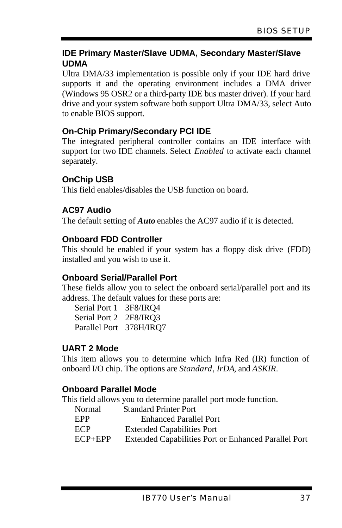#### **IDE Primary Master/Slave UDMA, Secondary Master/Slave UDMA**

Ultra DMA/33 implementation is possible only if your IDE hard drive supports it and the operating environment includes a DMA driver (Windows 95 OSR2 or a third-party IDE bus master driver). If your hard drive and your system software both support Ultra DMA/33, select Auto to enable BIOS support.

#### **On-Chip Primary/Secondary PCI IDE**

The integrated peripheral controller contains an IDE interface with support for two IDE channels. Select *Enabled* to activate each channel separately.

#### **OnChip USB**

This field enables/disables the USB function on board.

#### **AC97 Audio**

The default setting of *Auto* enables the AC97 audio if it is detected.

#### **Onboard FDD Controller**

This should be enabled if your system has a floppy disk drive (FDD) installed and you wish to use it.

#### **Onboard Serial/Parallel Port**

These fields allow you to select the onboard serial/parallel port and its address. The default values for these ports are:

| Serial Port 1           | 3F8/IRO4 |
|-------------------------|----------|
| Serial Port 2 2F8/IRQ3  |          |
| Parallel Port 378H/IRO7 |          |

#### **UART 2 Mode**

This item allows you to determine which Infra Red (IR) function of onboard I/O chip. The options are *Standard*, *IrDA*, and *ASKIR*.

#### **Onboard Parallel Mode**

This field allows you to determine parallel port mode function.

- Normal Standard Printer Port
- EPP Enhanced Parallel Port
- ECP Extended Capabilities Port
- ECP+EPP Extended Capabilities Port or Enhanced Parallel Port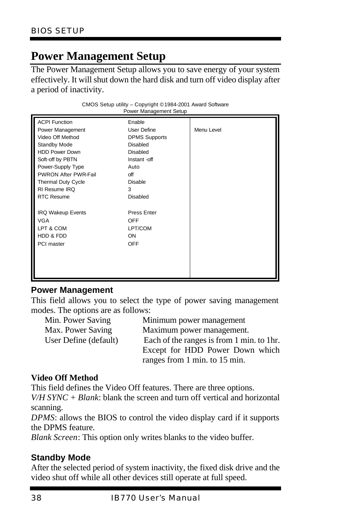## **Power Management Setup**

The Power Management Setup allows you to save energy of your system effectively. It will shut down the hard disk and turn off video display after a period of inactivity.

|                       | <b>FUWEI Management Setup</b> |            |
|-----------------------|-------------------------------|------------|
| <b>ACPI Function</b>  | Enable                        |            |
| Power Management      | User Define                   | Menu Level |
| Video Off Method      | <b>DPMS Supports</b>          |            |
| Standby Mode          | <b>Disabled</b>               |            |
| <b>HDD Power Down</b> | <b>Disabled</b>               |            |
| Soft-off by PBTN      | Instant -off                  |            |
| Power-Supply Type     | Auto                          |            |
| PWRON After PWR-Fail  | off                           |            |
| Thermal Duty Cycle    | <b>Disable</b>                |            |
| RI Resume IRQ         | 3                             |            |
| <b>RTC Resume</b>     | <b>Disabled</b>               |            |
|                       |                               |            |
| IRQ Wakeup Events     | Press Enter                   |            |
| <b>VGA</b>            | <b>OFF</b>                    |            |
| LPT & COM             | LPT/COM                       |            |
| HDD & FDD             | <b>ON</b>                     |            |
| PCI master            | OFF                           |            |
|                       |                               |            |
|                       |                               |            |
|                       |                               |            |
|                       |                               |            |
|                       |                               |            |

|  | CMOS Setup utility - Copyright ©1984-2001 Award Software |  |
|--|----------------------------------------------------------|--|
|  | Power Management Setup                                   |  |

#### **Power Management**

This field allows you to select the type of power saving management modes. The options are as follows:

| Min. Power Saving     | Minimum power management                  |
|-----------------------|-------------------------------------------|
| Max. Power Saving     | Maximum power management.                 |
| User Define (default) | Each of the ranges is from 1 min. to 1hr. |
|                       | Except for HDD Power Down which           |
|                       | ranges from 1 min. to 15 min.             |

#### **Video Off Method**

This field defines the Video Off features. There are three options.

*V/H SYNC + Blank*: blank the screen and turn off vertical and horizontal scanning.

*DPMS*: allows the BIOS to control the video display card if it supports the DPMS feature.

*Blank Screen*: This option only writes blanks to the video buffer.

#### **Standby Mode**

After the selected period of system inactivity, the fixed disk drive and the video shut off while all other devices still operate at full speed.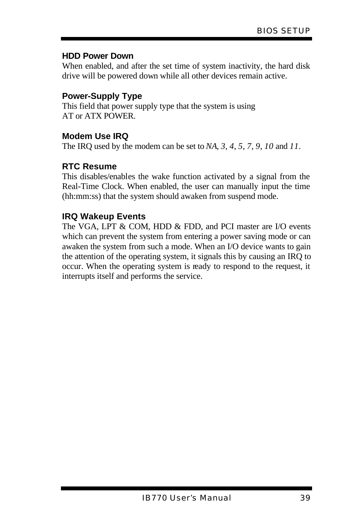#### **HDD Power Down**

When enabled, and after the set time of system inactivity, the hard disk drive will be powered down while all other devices remain active.

#### **Power-Supply Type**

This field that power supply type that the system is using AT or ATX POWER.

#### **Modem Use IRQ**

The IRQ used by the modem can be set to *NA*, *3*, *4*, *5*, *7*, *9*, *10* and *11*.

#### **RTC Resume**

This disables/enables the wake function activated by a signal from the Real-Time Clock. When enabled, the user can manually input the time (hh:mm:ss) that the system should awaken from suspend mode.

#### **IRQ Wakeup Events**

The VGA, LPT & COM, HDD & FDD, and PCI master are I/O events which can prevent the system from entering a power saving mode or can awaken the system from such a mode. When an I/O device wants to gain the attention of the operating system, it signals this by causing an IRQ to occur. When the operating system is ready to respond to the request, it interrupts itself and performs the service.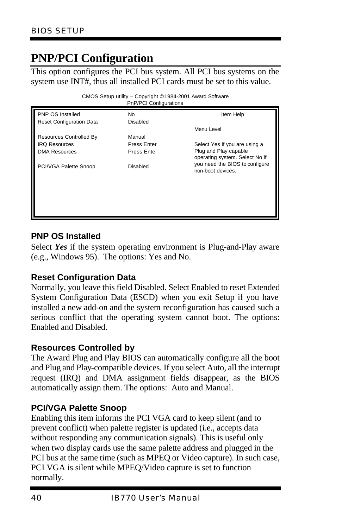# **PNP/PCI Configuration**

This option configures the PCI bus system. All PCI bus systems on the system use INT#, thus all installed PCI cards must be set to this value.

| <b>PhP/PCI Configurations</b>                       |                |                                                         |  |
|-----------------------------------------------------|----------------|---------------------------------------------------------|--|
| PNP OS Installed<br><b>Reset Configuration Data</b> | No<br>Disabled | Item Help                                               |  |
|                                                     |                | Menu Level                                              |  |
| <b>Resources Controlled By</b>                      | Manual         |                                                         |  |
| <b>IRQ Resources</b>                                | Press Enter    | Select Yes if you are using a                           |  |
| <b>DMA Resources</b>                                | Press Ente     | Plug and Play capable<br>operating system. Select No if |  |
| PCI/VGA Palette Snoop                               | Disabled       | you need the BIOS to configure<br>non-boot devices.     |  |
|                                                     |                |                                                         |  |
|                                                     |                |                                                         |  |

CMOS Setup utility – Copyright © 1984-2001 Award Software PnP/PCI Configurations

#### **PNP OS Installed**

Select *Yes* if the system operating environment is Plug-and-Play aware (e.g., Windows 95). The options: Yes and No.

#### **Reset Configuration Data**

Normally, you leave this field Disabled. Select Enabled to reset Extended System Configuration Data (ESCD) when you exit Setup if you have installed a new add-on and the system reconfiguration has caused such a serious conflict that the operating system cannot boot. The options: Enabled and Disabled.

#### **Resources Controlled by**

The Award Plug and Play BIOS can automatically configure all the boot and Plug and Play-compatible devices. If you select Auto, all the interrupt request (IRQ) and DMA assignment fields disappear, as the BIOS automatically assign them. The options: Auto and Manual.

#### **PCI/VGA Palette Snoop**

Enabling this item informs the PCI VGA card to keep silent (and to prevent conflict) when palette register is updated (i.e., accepts data without responding any communication signals). This is useful only when two display cards use the same palette address and plugged in the PCI bus at the same time (such as MPEQ or Video capture). In such case, PCI VGA is silent while MPEQ/Video capture is set to function normally.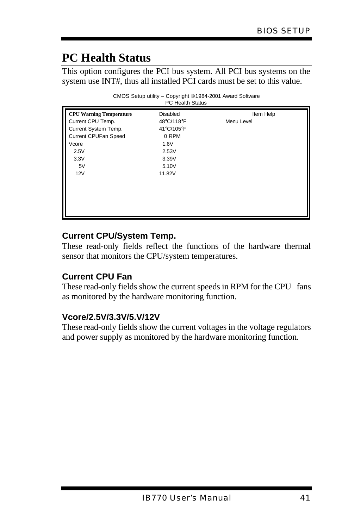# **PC Health Status**

This option configures the PCI bus system. All PCI bus systems on the system use INT#, thus all installed PCI cards must be set to this value.

| <b>CPU Warning Temperature</b> | <b>Disabled</b> | Item Help  |
|--------------------------------|-----------------|------------|
| Current CPU Temp.              | 48°C/118°F      | Menu Level |
| Current System Temp.           | 41°C/105°F      |            |
| Current CPUFan Speed           | 0 RPM           |            |
| Vcore                          | 1.6V            |            |
| 2.5V                           | 2.53V           |            |
| 3.3V                           | 3.39V           |            |
| 5V                             | 5.10V           |            |
| <b>12V</b>                     | 11.82V          |            |
|                                |                 |            |
|                                |                 |            |
|                                |                 |            |
|                                |                 |            |
|                                |                 |            |

| CMOS Setup utility - Copyright ©1984-2001 Award Software |  |
|----------------------------------------------------------|--|
| <b>PC Health Status</b>                                  |  |

#### **Current CPU/System Temp.**

These read-only fields reflect the functions of the hardware thermal sensor that monitors the CPU/system temperatures.

#### **Current CPU Fan**

These read-only fields show the current speeds in RPM for the CPU fans as monitored by the hardware monitoring function.

#### **Vcore/2.5V/3.3V/5.V/12V**

These read-only fields show the current voltages in the voltage regulators and power supply as monitored by the hardware monitoring function.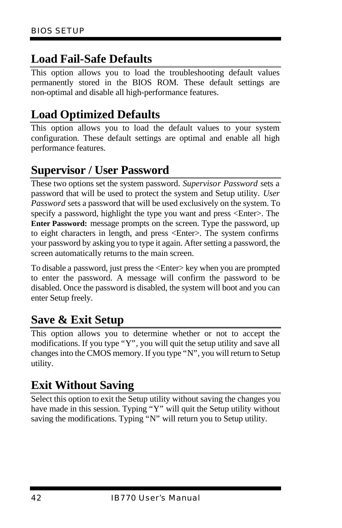## **Load Fail-Safe Defaults**

This option allows you to load the troubleshooting default values permanently stored in the BIOS ROM. These default settings are non-optimal and disable all high-performance features.

## **Load Optimized Defaults**

This option allows you to load the default values to your system configuration. These default settings are optimal and enable all high performance features.

## **Supervisor / User Password**

These two options set the system password. *Supervisor Password* sets a password that will be used to protect the system and Setup utility. *User Password* sets a password that will be used exclusively on the system. To specify a password, highlight the type you want and press <Enter>. The **Enter Password:** message prompts on the screen. Type the password, up to eight characters in length, and press <Enter>. The system confirms your password by asking you to type it again. After setting a password, the screen automatically returns to the main screen.

To disable a password, just press the <Enter> key when you are prompted to enter the password. A message will confirm the password to be disabled. Once the password is disabled, the system will boot and you can enter Setup freely.

## **Save & Exit Setup**

This option allows you to determine whether or not to accept the modifications. If you type "Y", you will quit the setup utility and save all changes into the CMOS memory. If you type "N", you will return to Setup utility.

## **Exit Without Saving**

Select this option to exit the Setup utility without saving the changes you have made in this session. Typing "Y" will quit the Setup utility without saving the modifications. Typing "N" will return you to Setup utility.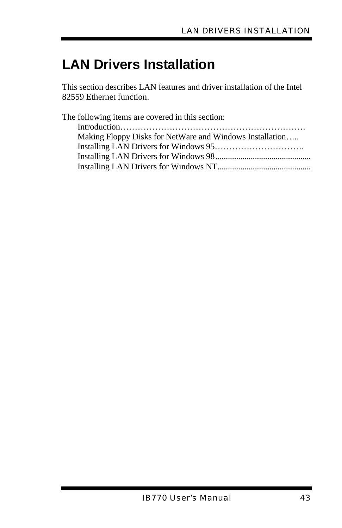# **LAN Drivers Installation**

This section describes LAN features and driver installation of the Intel 82559 Ethernet function.

The following items are covered in this section: Introduction………………………………………………………. Making Floppy Disks for NetWare and Windows Installation… .. Installing LAN Drivers for Windows 95……………… …………. Installing LAN Drivers for Windows 98.............................................. Installing LAN Drivers for Windows NT.............................................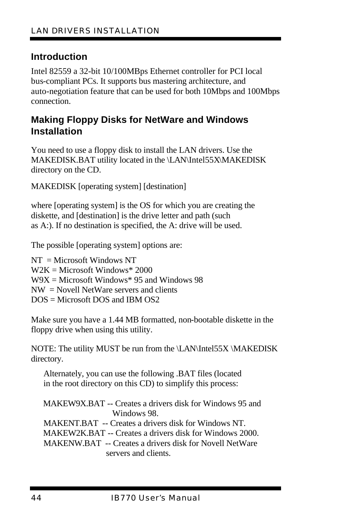### **Introduction**

Intel 82559 a 32-bit 10/100MBps Ethernet controller for PCI local bus-compliant PCs. It supports bus mastering architecture, and auto-negotiation feature that can be used for both 10Mbps and 100Mbps connection.

### **Making Floppy Disks for NetWare and Windows Installation**

You need to use a floppy disk to install the LAN drivers. Use the MAKEDISK.BAT utility located in the \LAN\Intel55X\MAKEDISK directory on the CD.

MAKEDISK [operating system] [destination]

where [operating system] is the OS for which you are creating the diskette, and [destination] is the drive letter and path (such as A:). If no destination is specified, the A: drive will be used.

The possible [operating system] options are:

 $NT = Microsoft Windows NT$  $W2K =$ Microsoft Windows\* 2000  $W9X = Microsoft Windows* 95$  and Windows 98  $NW = Novell NetW$  are servers and clients DOS = Microsoft DOS and IBM OS2

Make sure you have a 1.44 MB formatted, non-bootable diskette in the floppy drive when using this utility.

NOTE: The utility MUST be run from the \LAN\Intel55X \MAKEDISK directory.

 Alternately, you can use the following .BAT files (located in the root directory on this CD) to simplify this process:

 MAKEW9X.BAT -- Creates a drivers disk for Windows 95 and Windows 98. MAKENT.BAT -- Creates a drivers disk for Windows NT. MAKEW2K.BAT -- Creates a drivers disk for Windows 2000. MAKENW BAT -- Creates a drivers disk for Novell NetWare servers and clients.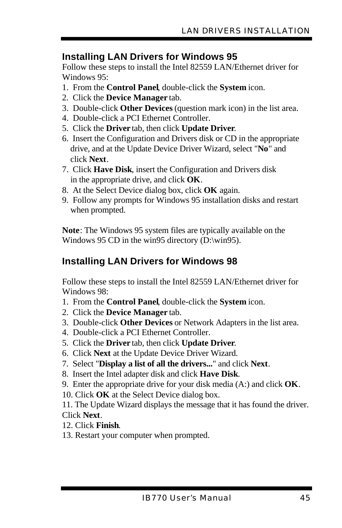### **Installing LAN Drivers for Windows 95**

Follow these steps to install the Intel 82559 LAN/Ethernet driver for Windows 95:

- 1. From the **Control Panel**, double-click the **System** icon.
- 2. Click the **Device Manager** tab.
- 3. Double-click **Other Devices** (question mark icon) in the list area.
- 4. Double-click a PCI Ethernet Controller.
- 5. Click the **Driver** tab, then click **Update Driver**.
- 6. Insert the Configuration and Drivers disk or CD in the appropriate drive, and at the Update Device Driver Wizard, select "**No**" and click **Next**.
- 7. Click **Have Disk**, insert the Configuration and Drivers disk in the appropriate drive, and click **OK**.
- 8. At the Select Device dialog box, click **OK** again.
- 9. Follow any prompts for Windows 95 installation disks and restart when prompted.

**Note**: The Windows 95 system files are typically available on the Windows 95 CD in the win95 directory (D:\win95).

### **Installing LAN Drivers for Windows 98**

Follow these steps to install the Intel 82559 LAN/Ethernet driver for Windows 98:

- 1. From the **Control Panel**, double-click the **System** icon.
- 2. Click the **Device Manager** tab.
- 3. Double-click **Other Devices** or Network Adapters in the list area.
- 4. Double-click a PCI Ethernet Controller.
- 5. Click the **Driver** tab, then click **Update Driver**.
- 6. Click **Next** at the Update Device Driver Wizard.
- 7. Select "**Display a list of all the drivers...**" and click **Next**.
- 8. Insert the Intel adapter disk and click **Have Disk**.
- 9. Enter the appropriate drive for your disk media (A:) and click **OK**.
- 10. Click **OK** at the Select Device dialog box.

11. The Update Wizard displays the message that it has found the driver. Click **Next**.

- 12. Click **Finish**.
- 13. Restart your computer when prompted.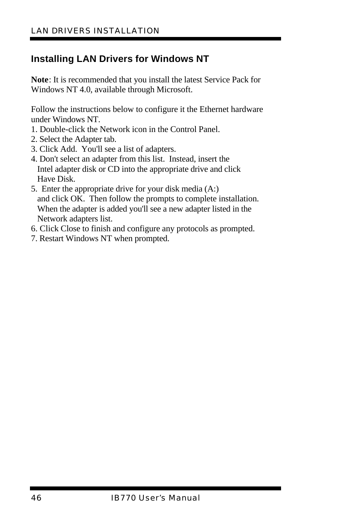### **Installing LAN Drivers for Windows NT**

**Note**: It is recommended that you install the latest Service Pack for Windows NT 4.0, available through Microsoft.

Follow the instructions below to configure it the Ethernet hardware under Windows NT.

- 1. Double-click the Network icon in the Control Panel.
- 2. Select the Adapter tab.
- 3. Click Add. You'll see a list of adapters.
- 4. Don't select an adapter from this list. Instead, insert the Intel adapter disk or CD into the appropriate drive and click Have Disk.
- 5. Enter the appropriate drive for your disk media (A:) and click OK. Then follow the prompts to complete installation. When the adapter is added you'll see a new adapter listed in the Network adapters list.
- 6. Click Close to finish and configure any protocols as prompted.
- 7. Restart Windows NT when prompted.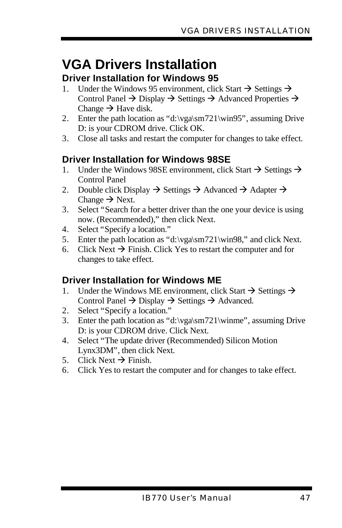# **VGA Drivers Installation**

#### **Driver Installation for Windows 95**

- 1. Under the Windows 95 environment, click Start  $\rightarrow$  Settings  $\rightarrow$ Control Panel  $\rightarrow$  Display  $\rightarrow$  Settings  $\rightarrow$  Advanced Properties  $\rightarrow$ Change  $\rightarrow$  Have disk.
- 2. Enter the path location as "d:\vga\sm721\win95", assuming Drive D: is your CDROM drive. Click OK.
- 3. Close all tasks and restart the computer for changes to take effect.

### **Driver Installation for Windows 98SE**

- 1. Under the Windows 98SE environment, click Start  $\rightarrow$  Settings  $\rightarrow$ Control Panel
- 2. Double click Display  $\rightarrow$  Settings  $\rightarrow$  Advanced  $\rightarrow$  Adapter  $\rightarrow$ Change  $\rightarrow$  Next.
- 3. Select "Search for a better driver than the one your device is using now. (Recommended)," then click Next.
- 4. Select "Specify a location."
- 5. Enter the path location as "d:\vga\sm721\win98," and click Next.
- 6. Click Next  $\rightarrow$  Finish. Click Yes to restart the computer and for changes to take effect.

### **Driver Installation for Windows ME**

- 1. Under the Windows ME environment, click Start  $\rightarrow$  Settings  $\rightarrow$ Control Panel  $\rightarrow$  Display  $\rightarrow$  Settings  $\rightarrow$  Advanced.
- 2. Select "Specify a location."
- 3. Enter the path location as "d:\vga\sm721\winme", assuming Drive D: is your CDROM drive. Click Next.
- 4. Select "The update driver (Recommended) Silicon Motion Lynx3DM", then click Next.
- 5. Click Next  $\rightarrow$  Finish.
- 6. Click Yes to restart the computer and for changes to take effect.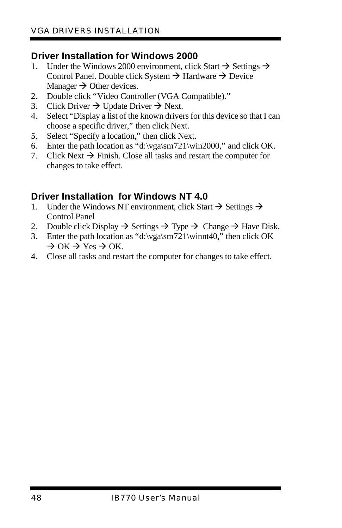### **Driver Installation for Windows 2000**

- 1. Under the Windows 2000 environment, click Start  $\rightarrow$  Settings  $\rightarrow$ Control Panel. Double click System  $\rightarrow$  Hardware  $\rightarrow$  Device Manager  $\rightarrow$  Other devices.
- 2. Double click "Video Controller (VGA Compatible)."
- 3. Click Driver  $\rightarrow$  Update Driver  $\rightarrow$  Next.
- 4. Select "Display a list of the known drivers for this device so that I can choose a specific driver," then click Next.
- 5. Select "Specify a location," then click Next.
- 6. Enter the path location as "d:\vga\sm721\win2000," and click OK.
- 7. Click Next  $\rightarrow$  Finish. Close all tasks and restart the computer for changes to take effect.

### **Driver Installation for Windows NT 4.0**

- 1. Under the Windows NT environment, click Start  $\rightarrow$  Settings  $\rightarrow$ Control Panel
- 2. Double click Display  $\rightarrow$  Settings  $\rightarrow$  Type  $\rightarrow$  Change  $\rightarrow$  Have Disk.
- 3. Enter the path location as "d:\vga\sm721\winnt40," then click OK  $\rightarrow$  OK  $\rightarrow$  Yes  $\rightarrow$  OK.
- 4. Close all tasks and restart the computer for changes to take effect.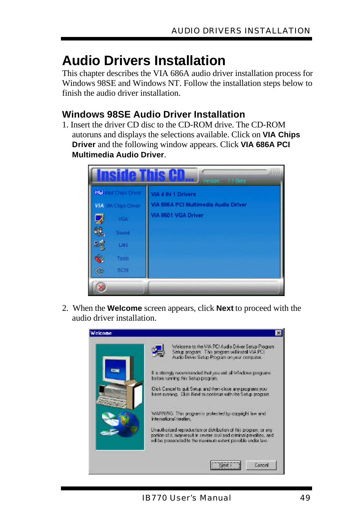# **Audio Drivers Installation**

This chapter describes the VIA 686A audio driver installation process for Windows 98SE and Windows NT. Follow the installation steps below to finish the audio driver installation.

### **Windows 98SE Audio Driver Installation**

1. Insert the driver CD disc to the CD-ROM drive. The CD-ROM autoruns and displays the selections available. Click on **VIA Chips Driver** and the following window appears. Click **VIA 686A PCI Multimedia Audio Driver**.



2. When the **Welcome** screen appears, click **Next** to proceed with the audio driver installation.



*IB770 User's Manual 49*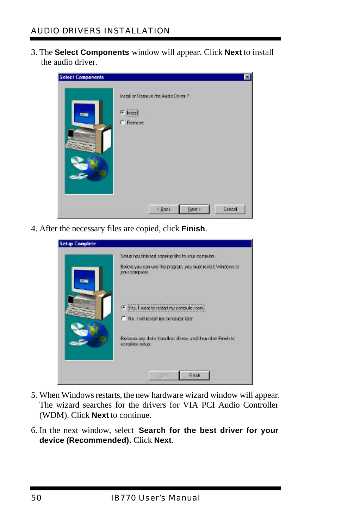3. The **Select Components** window will appear. Click **Next** to install the audio driver.

| <b>Select Components</b> |           |                                       | 図 |
|--------------------------|-----------|---------------------------------------|---|
|                          |           | Install or Flemove the Audio Driver ? |   |
|                          | G instal  |                                       |   |
| ٠                        |           |                                       |   |
|                          | C. Remove |                                       |   |
|                          |           |                                       |   |
|                          |           |                                       |   |
|                          |           |                                       |   |
|                          |           |                                       |   |
|                          |           |                                       |   |
|                          |           |                                       |   |
|                          |           |                                       |   |
|                          |           |                                       |   |
|                          |           |                                       |   |

4. After the necessary files are copied, click **Finish**.

| Seitig has finished copying that to your computer.                                                                                                                |
|-------------------------------------------------------------------------------------------------------------------------------------------------------------------|
| Beiche you can use the program, you must restait Windows or<br>you compute.                                                                                       |
| (Fight), I want to restart my computer now.<br>Mo. Twill restart my computer later.                                                                               |
| CONTRACTOR CONTRACTOR AND THE CONTRACTOR OF THE RELEASED PROPERTY AND RELEASED<br>Bemaye any disks from their drives, and then olick Finish to<br>complete selup. |

- 5. When Windows restarts, the new hardware wizard window will appear. The wizard searches for the drivers for VIA PCI Audio Controller (WDM). Click **Next** to continue.
- 6. In the next window, select **Search for the best driver for your device (Recommended).** Click **Next**.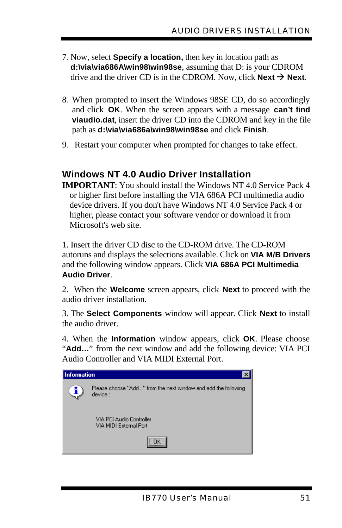- 7. Now, select **Specify a location,** then key in location path as **d:\via\via686A\win98\win98se**, assuming that D: is your CDROM drive and the driver CD is in the CDROM. Now, click **Next**  $\rightarrow$  **Next**.
- 8. When prompted to insert the Windows 98SE CD, do so accordingly and click **OK**. When the screen appears with a message **can't find viaudio.dat**, insert the driver CD into the CDROM and key in the file path as **d:\via\via686a\win98\win98se** and click **Finish**.
- 9. Restart your computer when prompted for changes to take effect.

### **Windows NT 4.0 Audio Driver Installation**

**IMPORTANT**: You should install the Windows NT 4.0 Service Pack 4 or higher first before installing the VIA 686A PCI multimedia audio device drivers. If you don't have Windows NT 4.0 Service Pack 4 or higher, please contact your software vendor or download it from Microsoft's web site.

1. Insert the driver CD disc to the CD-ROM drive. The CD-ROM autoruns and displays the selections available. Click on **VIA M/B Drivers** and the following window appears. Click **VIA 686A PCI Multimedia Audio Driver**.

2. When the **Welcome** screen appears, click **Next** to proceed with the audio driver installation.

3. The **Select Components** window will appear. Click **Next** to install the audio driver.

4. When the **Information** window appears, click **OK**. Please choose "Add..." from the next window and add the following device: VIA PCI Audio Controller and VIA MIDI External Port.

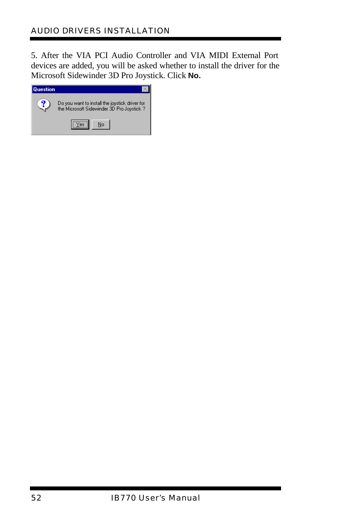5. After the VIA PCI Audio Controller and VIA MIDI External Port devices are added, you will be asked whether to install the driver for the Microsoft Sidewinder 3D Pro Joystick. Click **No.**

| Question |                                                                                             |
|----------|---------------------------------------------------------------------------------------------|
|          | Do you want to install the joystick driver for<br>the Microsoft Sidewinder 3D Pro Joystick? |
|          |                                                                                             |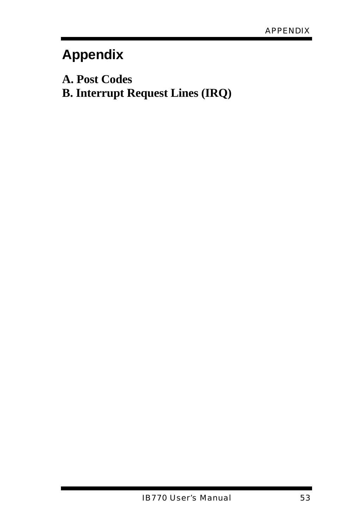# **Appendix**

**A. Post Codes**

**B. Interrupt Request Lines (IRQ)**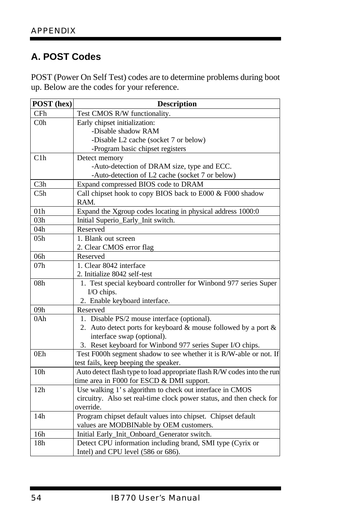### **A. POST Codes**

POST (Power On Self Test) codes are to determine problems during boot up. Below are the codes for your reference.

| POST (hex)      | <b>Description</b>                                                      |
|-----------------|-------------------------------------------------------------------------|
| CFh             | Test CMOS R/W functionality.                                            |
| C <sub>0</sub>  | Early chipset initialization:                                           |
|                 | -Disable shadow RAM                                                     |
|                 | -Disable L2 cache (socket 7 or below)                                   |
|                 | -Program basic chipset registers                                        |
| C1h             | Detect memory                                                           |
|                 | -Auto-detection of DRAM size, type and ECC.                             |
|                 | -Auto-detection of L2 cache (socket 7 or below)                         |
| C3h             | Expand compressed BIOS code to DRAM                                     |
| C5h             | Call chipset hook to copy BIOS back to E000 & F000 shadow               |
|                 | RAM.                                                                    |
| 01h             | Expand the Xgroup codes locating in physical address 1000:0             |
| 03h             | Initial Superio_Early_Init switch.                                      |
| 04h             | Reserved                                                                |
| 05h             | 1. Blank out screen                                                     |
|                 | 2. Clear CMOS error flag                                                |
| 06h             | Reserved                                                                |
| 07h             | 1. Clear 8042 interface                                                 |
|                 | 2. Initialize 8042 self-test                                            |
| 08h             | 1. Test special keyboard controller for Winbond 977 series Super        |
|                 | I/O chips.                                                              |
|                 | 2. Enable keyboard interface.                                           |
| 09h             | Reserved                                                                |
| 0Ah             | 1. Disable PS/2 mouse interface (optional).                             |
|                 | 2. Auto detect ports for keyboard $\&$ mouse followed by a port $\&$    |
|                 | interface swap (optional).                                              |
|                 | 3. Reset keyboard for Winbond 977 series Super I/O chips.               |
| 0Eh             | Test F000h segment shadow to see whether it is R/W-able or not. If      |
|                 | test fails, keep beeping the speaker.                                   |
| 10 <sub>h</sub> | Auto detect flash type to load appropriate flash R/W codes into the run |
|                 | time area in F000 for ESCD & DMI support.                               |
| 12h             | Use walking 1's algorithm to check out interface in CMOS                |
|                 | circuitry. Also set real-time clock power status, and then check for    |
|                 | override.                                                               |
| 14h             | Program chipset default values into chipset. Chipset default            |
|                 | values are MODBINable by OEM customers.                                 |
| 16h             | Initial Early_Init_Onboard_Generator switch.                            |
| 18h             | Detect CPU information including brand, SMI type (Cyrix or              |
|                 | Intel) and CPU level (586 or 686).                                      |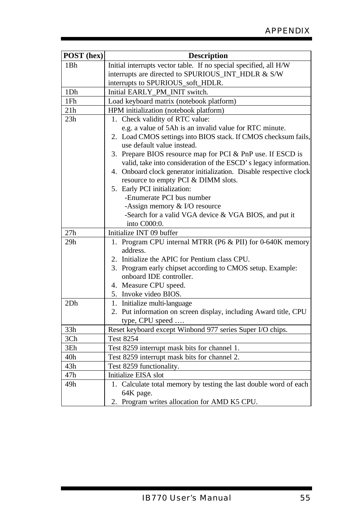| POST (hex)       | <b>Description</b>                                                  |
|------------------|---------------------------------------------------------------------|
| 1 <sub>Bh</sub>  | Initial interrupts vector table. If no special specified, all H/W   |
|                  | interrupts are directed to SPURIOUS_INT_HDLR & S/W                  |
|                  | interrupts to SPURIOUS_soft_HDLR.                                   |
| 1Dh              | Initial EARLY PM INIT switch.                                       |
| 1Fh              | Load keyboard matrix (notebook platform)                            |
| $\overline{21h}$ | HPM initialization (notebook platform)                              |
| 23h              | 1. Check validity of RTC value:                                     |
|                  | e.g. a value of 5Ah is an invalid value for RTC minute.             |
|                  | 2. Load CMOS settings into BIOS stack. If CMOS checksum fails,      |
|                  | use default value instead.                                          |
|                  | 3. Prepare BIOS resource map for PCI & PnP use. If ESCD is          |
|                  | valid, take into consideration of the ESCD's legacy information.    |
|                  | 4. Onboard clock generator initialization. Disable respective clock |
|                  | resource to empty PCI & DIMM slots.                                 |
|                  | 5. Early PCI initialization:                                        |
|                  | -Enumerate PCI bus number                                           |
|                  | -Assign memory & I/O resource                                       |
|                  | -Search for a valid VGA device & VGA BIOS, and put it               |
|                  | into C000:0.                                                        |
| 27h              | Initialize INT 09 buffer                                            |
| 29h              | 1. Program CPU internal MTRR (P6 & PII) for 0-640K memory           |
|                  | address.                                                            |
|                  | 2. Initialize the APIC for Pentium class CPU.                       |
|                  | 3. Program early chipset according to CMOS setup. Example:          |
|                  | onboard IDE controller.                                             |
|                  | 4. Measure CPU speed.                                               |
|                  | 5. Invoke video BIOS.                                               |
| 2Dh              | 1. Initialize multi-language                                        |
|                  | 2. Put information on screen display, including Award title, CPU    |
|                  | type, CPU speed                                                     |
| 33h              | Reset keyboard except Winbond 977 series Super I/O chips.           |
| 3Ch              | <b>Test 8254</b>                                                    |
| 3Eh              | Test 8259 interrupt mask bits for channel 1.                        |
| 40h              | Test 8259 interrupt mask bits for channel 2.                        |
| 43h              | Test 8259 functionality.                                            |
| 47h              | Initialize EISA slot                                                |
| 49h              | 1. Calculate total memory by testing the last double word of each   |
|                  | 64K page.                                                           |
|                  | 2. Program writes allocation for AMD K5 CPU.                        |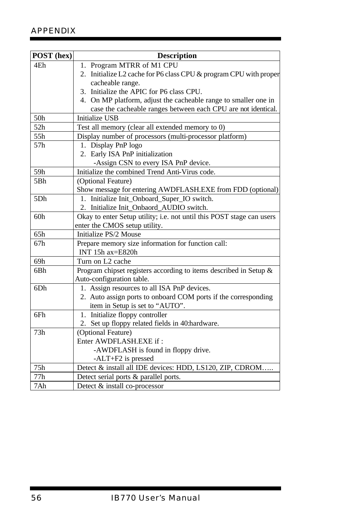| POST (hex)      | <b>Description</b>                                                    |
|-----------------|-----------------------------------------------------------------------|
| 4Eh             | 1. Program MTRR of M1 CPU                                             |
|                 | 2. Initialize L2 cache for P6 class CPU & program CPU with proper     |
|                 | cacheable range.                                                      |
|                 | 3. Initialize the APIC for P6 class CPU.                              |
|                 | 4. On MP platform, adjust the cacheable range to smaller one in       |
|                 | case the cacheable ranges between each CPU are not identical.         |
| 50h             | <b>Initialize USB</b>                                                 |
| 52h             | Test all memory (clear all extended memory to 0)                      |
| 55h             | Display number of processors (multi-processor platform)               |
| 57h             | 1. Display PnP logo                                                   |
|                 | 2. Early ISA PnP initialization                                       |
|                 | -Assign CSN to every ISA PnP device.                                  |
| 59h             | Initialize the combined Trend Anti-Virus code.                        |
| 5 <sub>Bh</sub> | (Optional Feature)                                                    |
|                 | Show message for entering AWDFLASH.EXE from FDD (optional)            |
| 5Dh             | 1. Initialize Init_Onboard_Super_IO switch.                           |
|                 | 2. Initialize Init_Onbaord_AUDIO switch.                              |
| 60h             | Okay to enter Setup utility; i.e. not until this POST stage can users |
|                 | enter the CMOS setup utility.                                         |
| 65h             | Initialize PS/2 Mouse                                                 |
| 67h             | Prepare memory size information for function call:                    |
|                 | INT 15h ax=E820h                                                      |
| 69h             | Turn on L2 cache                                                      |
| 6 <sub>Bh</sub> | Program chipset registers according to items described in Setup &     |
|                 | Auto-configuration table.                                             |
| 6 <sub>Dh</sub> | 1. Assign resources to all ISA PnP devices.                           |
|                 | 2. Auto assign ports to onboard COM ports if the corresponding        |
|                 | item in Setup is set to "AUTO".                                       |
| 6Fh             | 1. Initialize floppy controller                                       |
|                 | 2. Set up floppy related fields in 40:hardware.                       |
| 73h             | (Optional Feature)                                                    |
|                 | Enter AWDFLASH.EXE if:                                                |
|                 | -AWDFLASH is found in floppy drive.                                   |
|                 | $-ALT + F2$ is pressed                                                |
| 75h             | Detect & install all IDE devices: HDD, LS120, ZIP, CDROM              |
| 77h             | Detect serial ports & parallel ports.                                 |
| 7Ah             | Detect & install co-processor                                         |

٠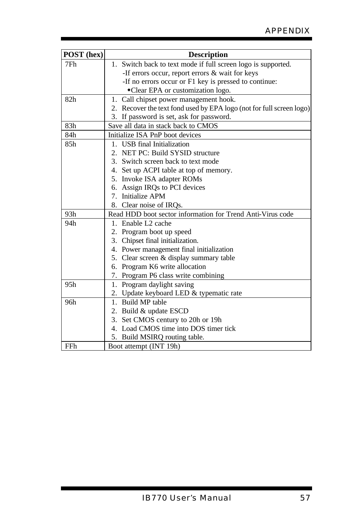| POST (hex) | <b>Description</b>                                                   |
|------------|----------------------------------------------------------------------|
| 7Fh        | 1. Switch back to text mode if full screen logo is supported.        |
|            | -If errors occur, report errors $\&$ wait for keys                   |
|            | -If no errors occur or F1 key is pressed to continue:                |
|            | *Clear EPA or customization logo.                                    |
| 82h        | 1. Call chipset power management hook.                               |
|            | 2. Recover the text fond used by EPA logo (not for full screen logo) |
|            | 3. If password is set, ask for password.                             |
| 83h        | Save all data in stack back to CMOS                                  |
| 84h        | Initialize ISA PnP boot devices                                      |
| 85h        | 1. USB final Initialization                                          |
|            | 2. NET PC: Build SYSID structure                                     |
|            | 3. Switch screen back to text mode                                   |
|            | 4. Set up ACPI table at top of memory.                               |
|            | 5. Invoke ISA adapter ROMs                                           |
|            | 6. Assign IRQs to PCI devices                                        |
|            | 7. Initialize APM                                                    |
|            | 8. Clear noise of IRQs.                                              |
| 93h        | Read HDD boot sector information for Trend Anti-Virus code           |
| 94h        | 1. Enable L2 cache                                                   |
|            | 2. Program boot up speed                                             |
|            | 3. Chipset final initialization.                                     |
|            | 4. Power management final initialization                             |
|            | 5. Clear screen & display summary table                              |
|            | 6. Program K6 write allocation                                       |
|            | 7. Program P6 class write combining                                  |
| 95h        | 1. Program daylight saving                                           |
|            | 2. Update keyboard LED & typematic rate                              |
| 96h        | 1. Build MP table                                                    |
|            | 2. Build & update ESCD                                               |
|            | 3. Set CMOS century to 20h or 19h                                    |
|            | 4. Load CMOS time into DOS timer tick                                |
|            | 5. Build MSIRQ routing table.                                        |
| FFh        | Boot attempt (INT 19h)                                               |